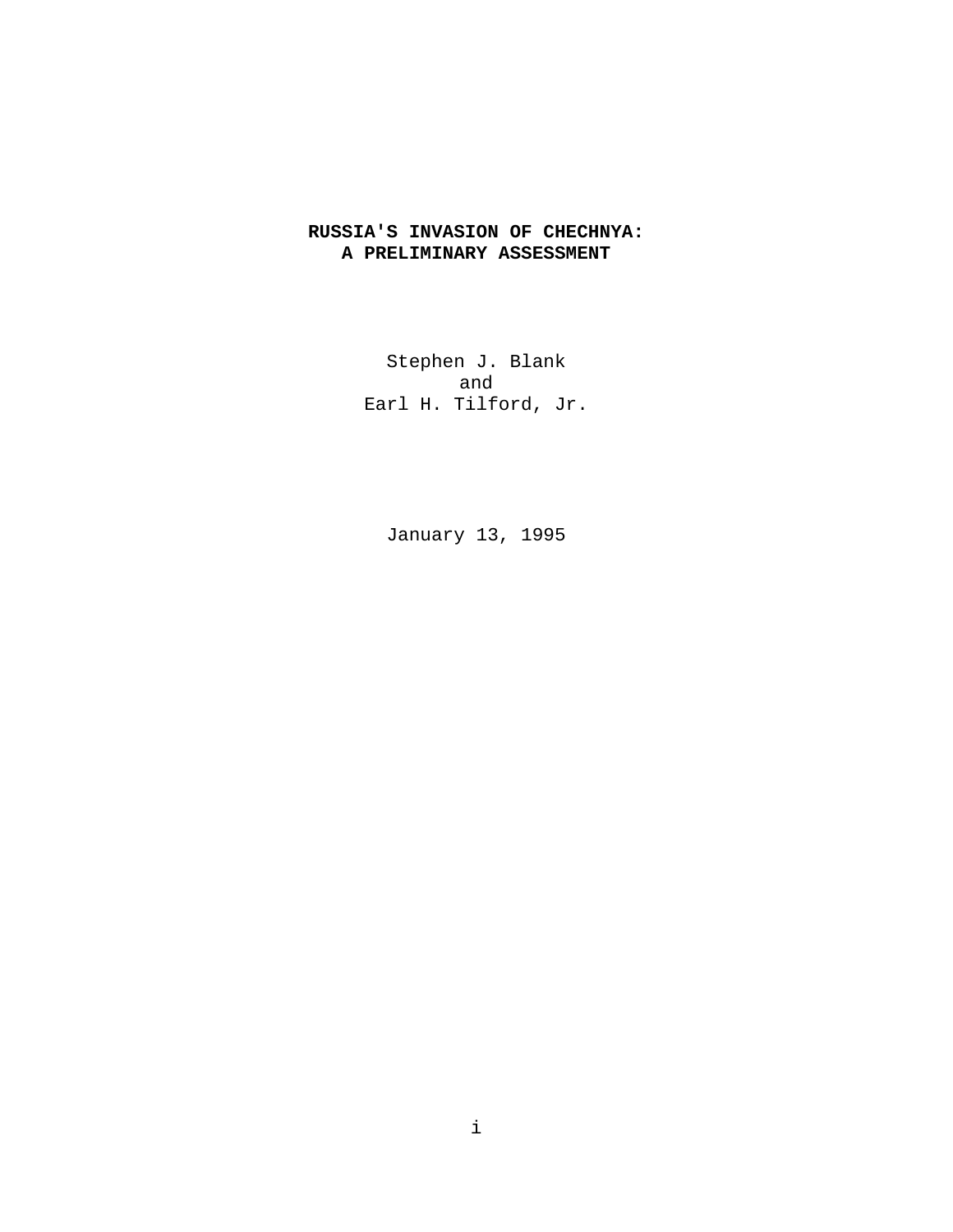# **RUSSIA'S INVASION OF CHECHNYA: A PRELIMINARY ASSESSMENT**

Stephen J. Blank and Earl H. Tilford, Jr.

January 13, 1995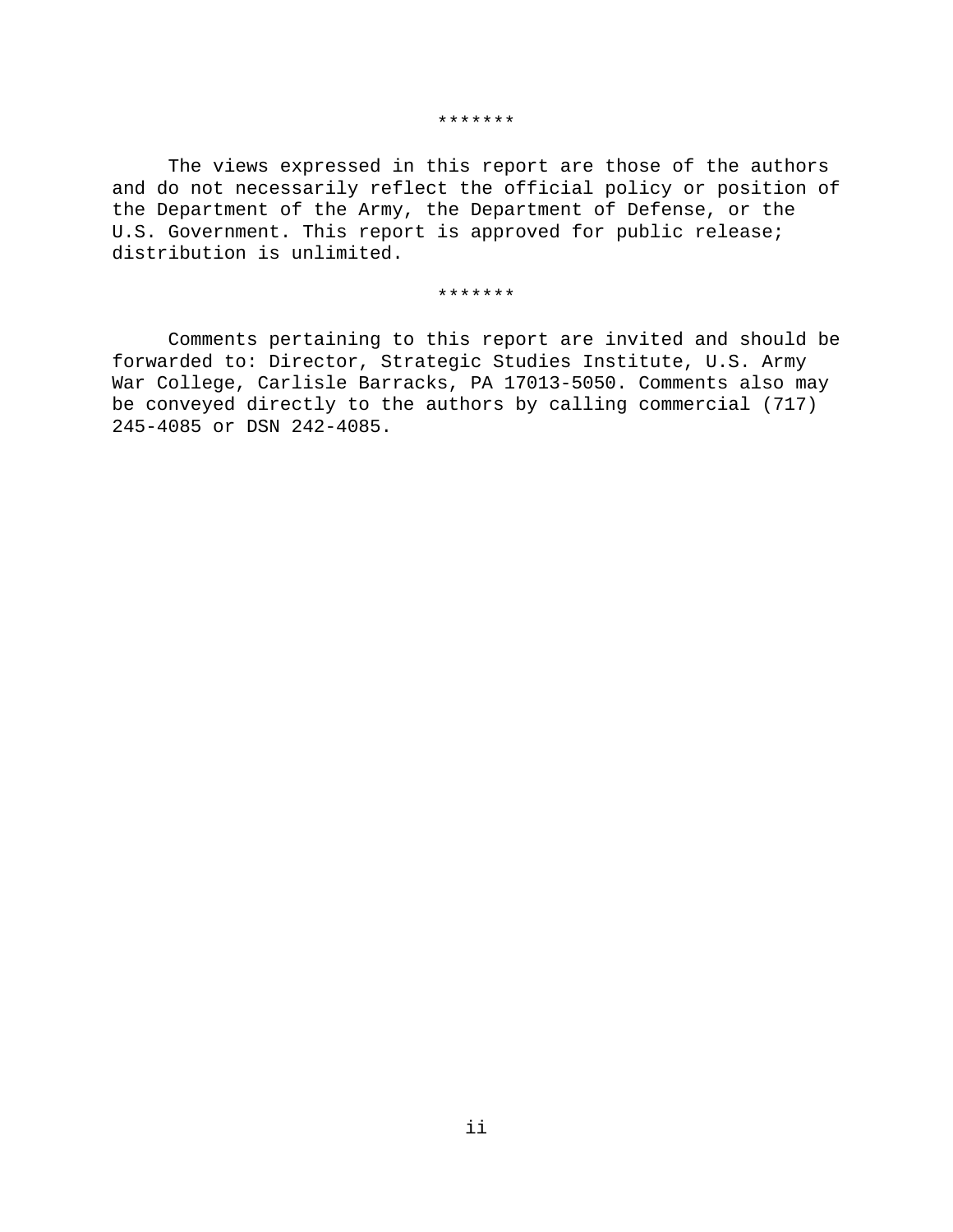#### \*\*\*\*\*\*\*

The views expressed in this report are those of the authors and do not necessarily reflect the official policy or position of the Department of the Army, the Department of Defense, or the U.S. Government. This report is approved for public release; distribution is unlimited.

#### \*\*\*\*\*\*\*

Comments pertaining to this report are invited and should be forwarded to: Director, Strategic Studies Institute, U.S. Army War College, Carlisle Barracks, PA 17013-5050. Comments also may be conveyed directly to the authors by calling commercial (717) 245-4085 or DSN 242-4085.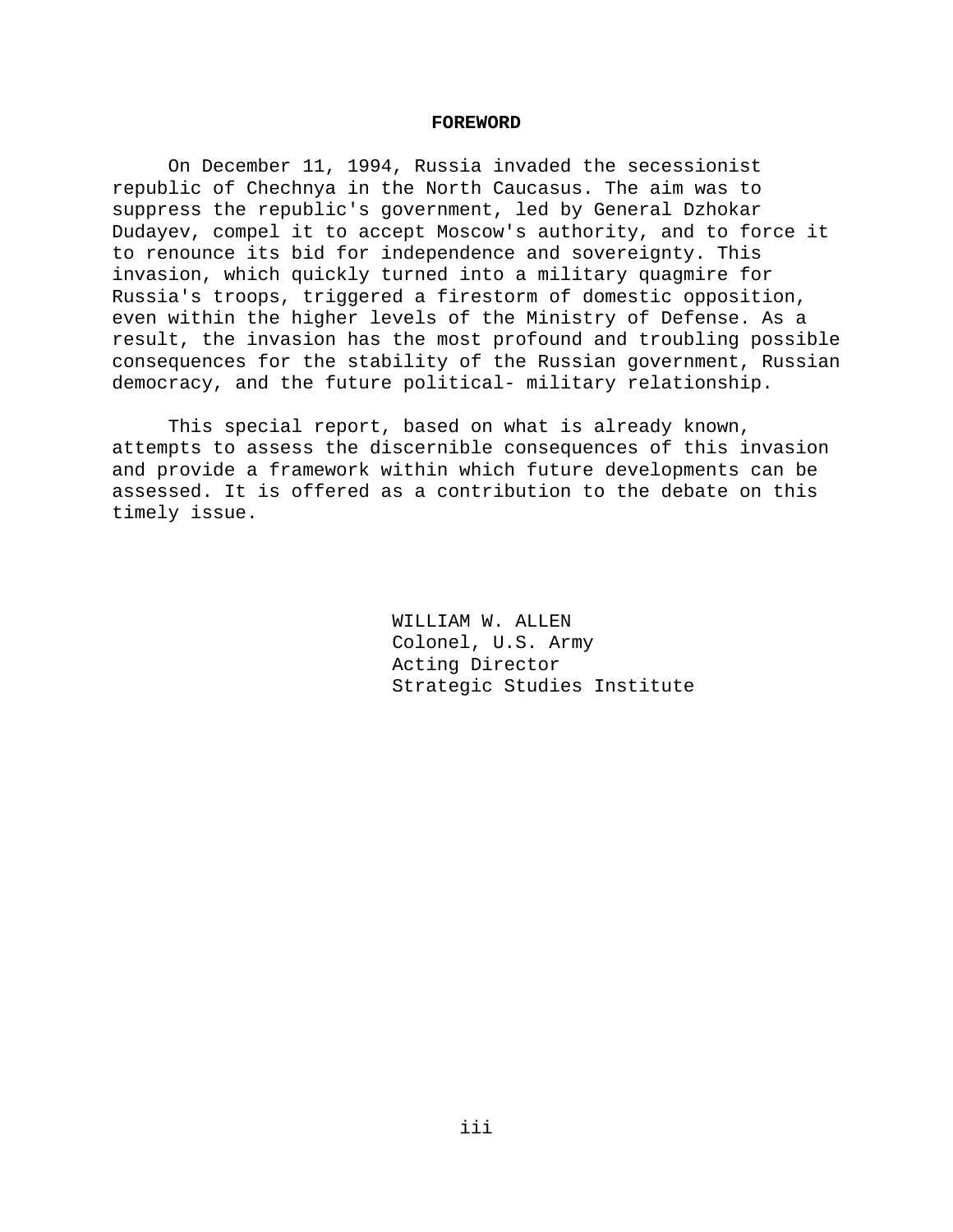### **FOREWORD**

On December 11, 1994, Russia invaded the secessionist republic of Chechnya in the North Caucasus. The aim was to suppress the republic's government, led by General Dzhokar Dudayev, compel it to accept Moscow's authority, and to force it to renounce its bid for independence and sovereignty. This invasion, which quickly turned into a military quagmire for Russia's troops, triggered a firestorm of domestic opposition, even within the higher levels of the Ministry of Defense. As a result, the invasion has the most profound and troubling possible consequences for the stability of the Russian government, Russian democracy, and the future political- military relationship.

This special report, based on what is already known, attempts to assess the discernible consequences of this invasion and provide a framework within which future developments can be assessed. It is offered as a contribution to the debate on this timely issue.

> WILLIAM W. ALLEN Colonel, U.S. Army Acting Director Strategic Studies Institute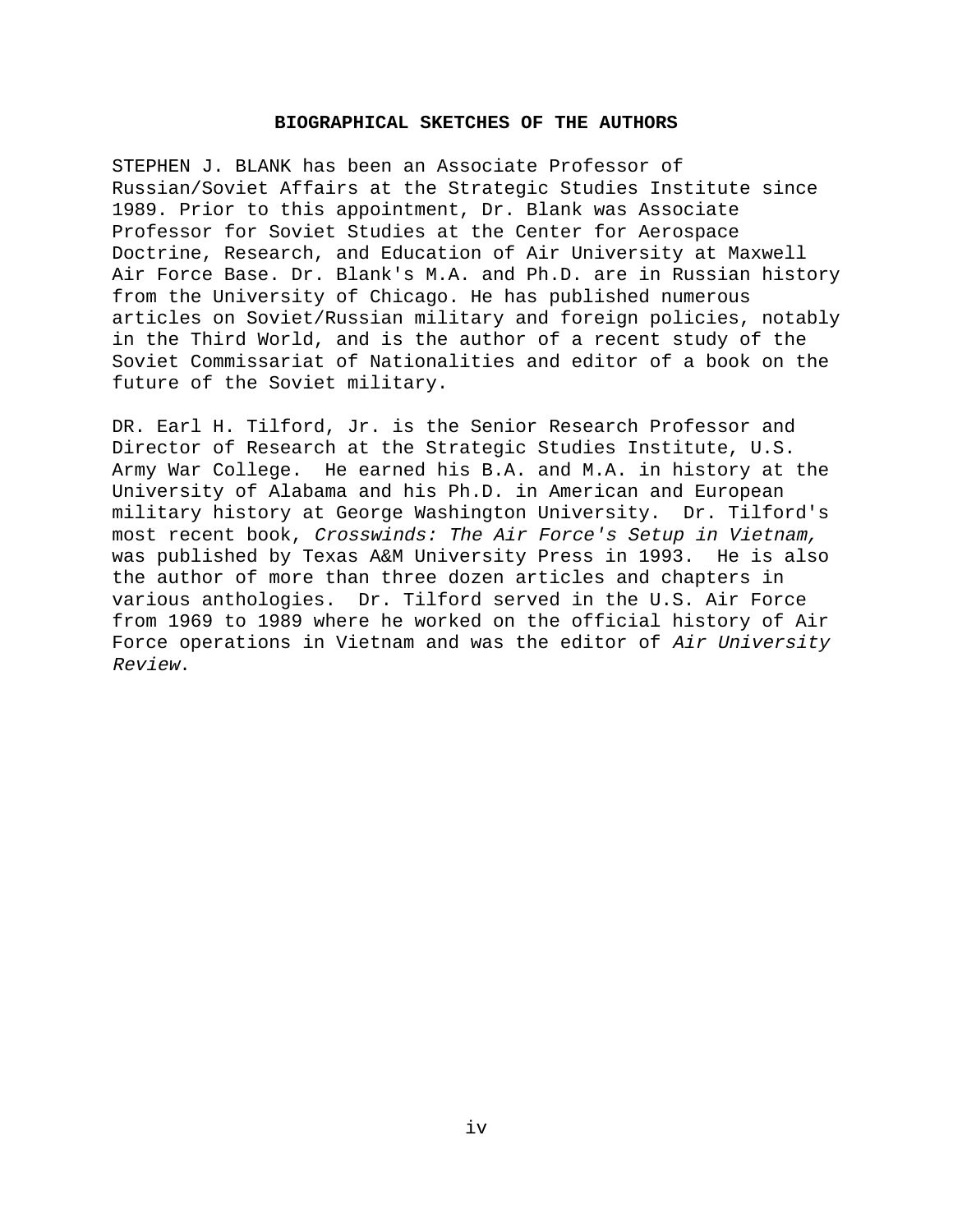### **BIOGRAPHICAL SKETCHES OF THE AUTHORS**

STEPHEN J. BLANK has been an Associate Professor of Russian/Soviet Affairs at the Strategic Studies Institute since 1989. Prior to this appointment, Dr. Blank was Associate Professor for Soviet Studies at the Center for Aerospace Doctrine, Research, and Education of Air University at Maxwell Air Force Base. Dr. Blank's M.A. and Ph.D. are in Russian history from the University of Chicago. He has published numerous articles on Soviet/Russian military and foreign policies, notably in the Third World, and is the author of a recent study of the Soviet Commissariat of Nationalities and editor of a book on the future of the Soviet military.

DR. Earl H. Tilford, Jr. is the Senior Research Professor and Director of Research at the Strategic Studies Institute, U.S. Army War College. He earned his B.A. and M.A. in history at the University of Alabama and his Ph.D. in American and European military history at George Washington University. Dr. Tilford's most recent book, Crosswinds: The Air Force's Setup in Vietnam, was published by Texas A&M University Press in 1993. He is also the author of more than three dozen articles and chapters in various anthologies. Dr. Tilford served in the U.S. Air Force from 1969 to 1989 where he worked on the official history of Air Force operations in Vietnam and was the editor of Air University Review.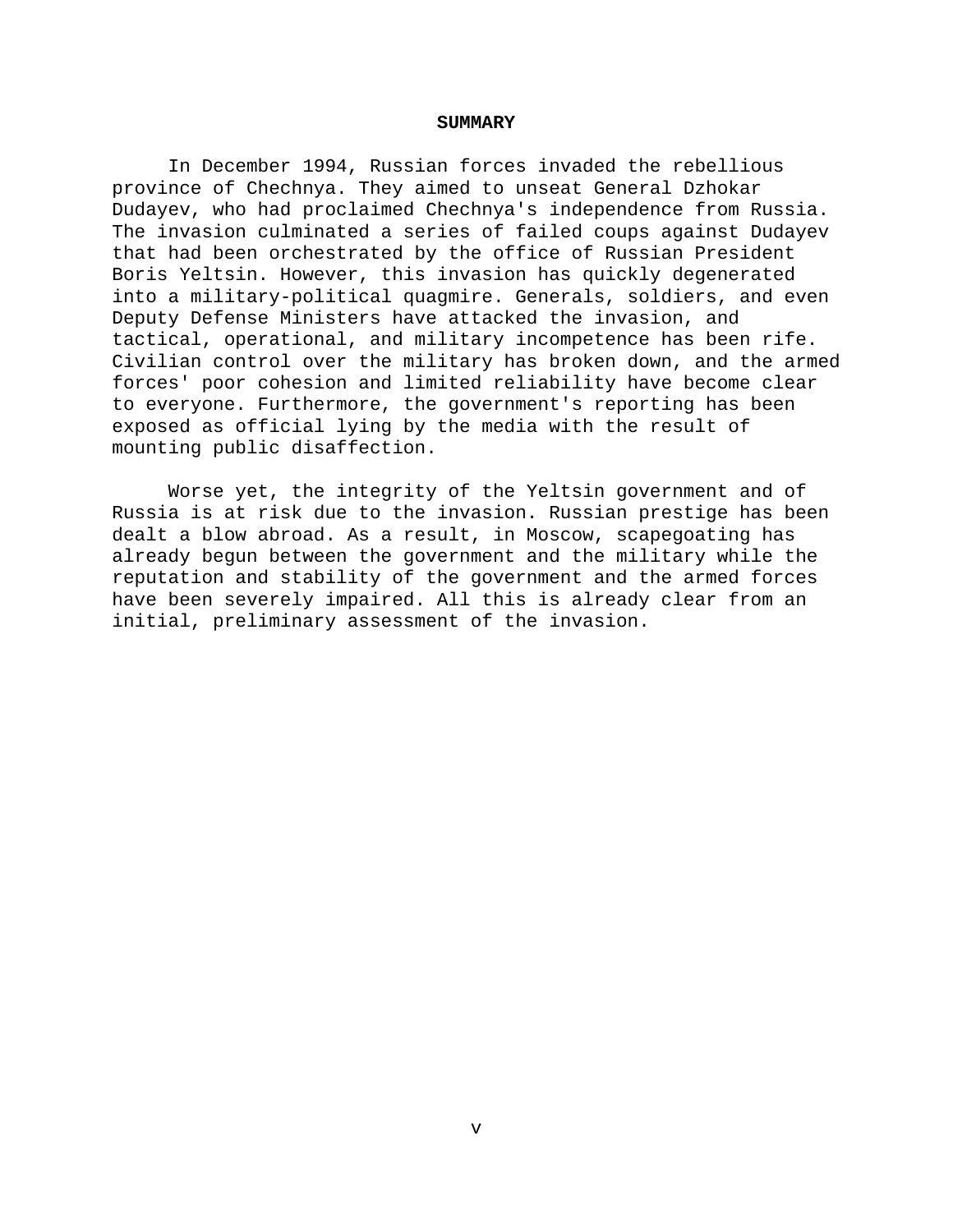### **SUMMARY**

In December 1994, Russian forces invaded the rebellious province of Chechnya. They aimed to unseat General Dzhokar Dudayev, who had proclaimed Chechnya's independence from Russia. The invasion culminated a series of failed coups against Dudayev that had been orchestrated by the office of Russian President Boris Yeltsin. However, this invasion has quickly degenerated into a military-political quagmire. Generals, soldiers, and even Deputy Defense Ministers have attacked the invasion, and tactical, operational, and military incompetence has been rife. Civilian control over the military has broken down, and the armed forces' poor cohesion and limited reliability have become clear to everyone. Furthermore, the government's reporting has been exposed as official lying by the media with the result of mounting public disaffection.

Worse yet, the integrity of the Yeltsin government and of Russia is at risk due to the invasion. Russian prestige has been dealt a blow abroad. As a result, in Moscow, scapegoating has already begun between the government and the military while the reputation and stability of the government and the armed forces have been severely impaired. All this is already clear from an initial, preliminary assessment of the invasion.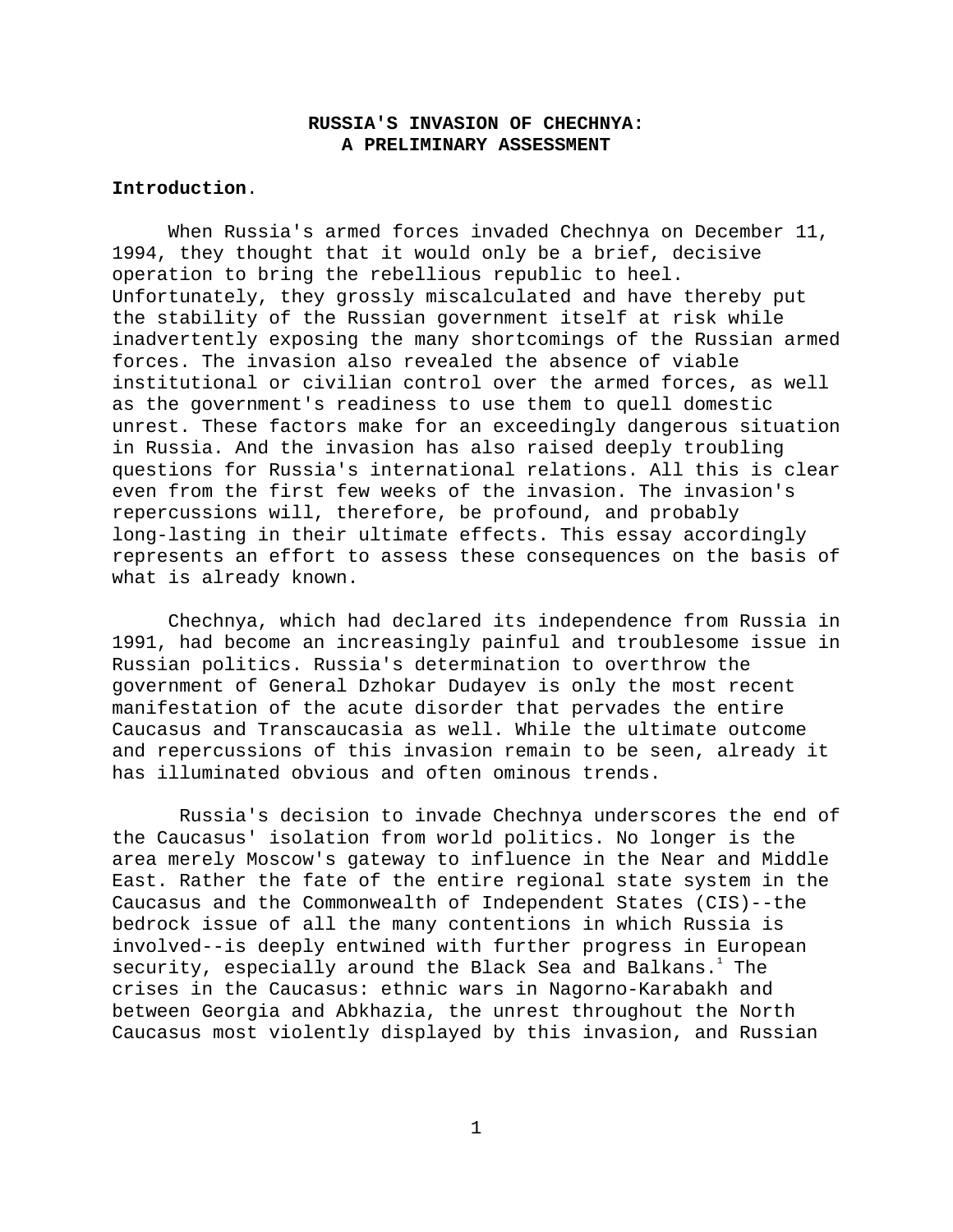# **RUSSIA'S INVASION OF CHECHNYA: A PRELIMINARY ASSESSMENT**

# **Introduction**.

When Russia's armed forces invaded Chechnya on December 11, 1994, they thought that it would only be a brief, decisive operation to bring the rebellious republic to heel. Unfortunately, they grossly miscalculated and have thereby put the stability of the Russian government itself at risk while inadvertently exposing the many shortcomings of the Russian armed forces. The invasion also revealed the absence of viable institutional or civilian control over the armed forces, as well as the government's readiness to use them to quell domestic unrest. These factors make for an exceedingly dangerous situation in Russia. And the invasion has also raised deeply troubling questions for Russia's international relations. All this is clear even from the first few weeks of the invasion. The invasion's repercussions will, therefore, be profound, and probably long-lasting in their ultimate effects. This essay accordingly represents an effort to assess these consequences on the basis of what is already known.

Chechnya, which had declared its independence from Russia in 1991, had become an increasingly painful and troublesome issue in Russian politics. Russia's determination to overthrow the government of General Dzhokar Dudayev is only the most recent manifestation of the acute disorder that pervades the entire Caucasus and Transcaucasia as well. While the ultimate outcome and repercussions of this invasion remain to be seen, already it has illuminated obvious and often ominous trends.

 Russia's decision to invade Chechnya underscores the end of the Caucasus' isolation from world politics. No longer is the area merely Moscow's gateway to influence in the Near and Middle East. Rather the fate of the entire regional state system in the Caucasus and the Commonwealth of Independent States (CIS)--the bedrock issue of all the many contentions in which Russia is involved--is deeply entwined with further progress in European security, especially around the Black Sea and Balkans. $^{\rm l}$  The crises in the Caucasus: ethnic wars in Nagorno-Karabakh and between Georgia and Abkhazia, the unrest throughout the North Caucasus most violently displayed by this invasion, and Russian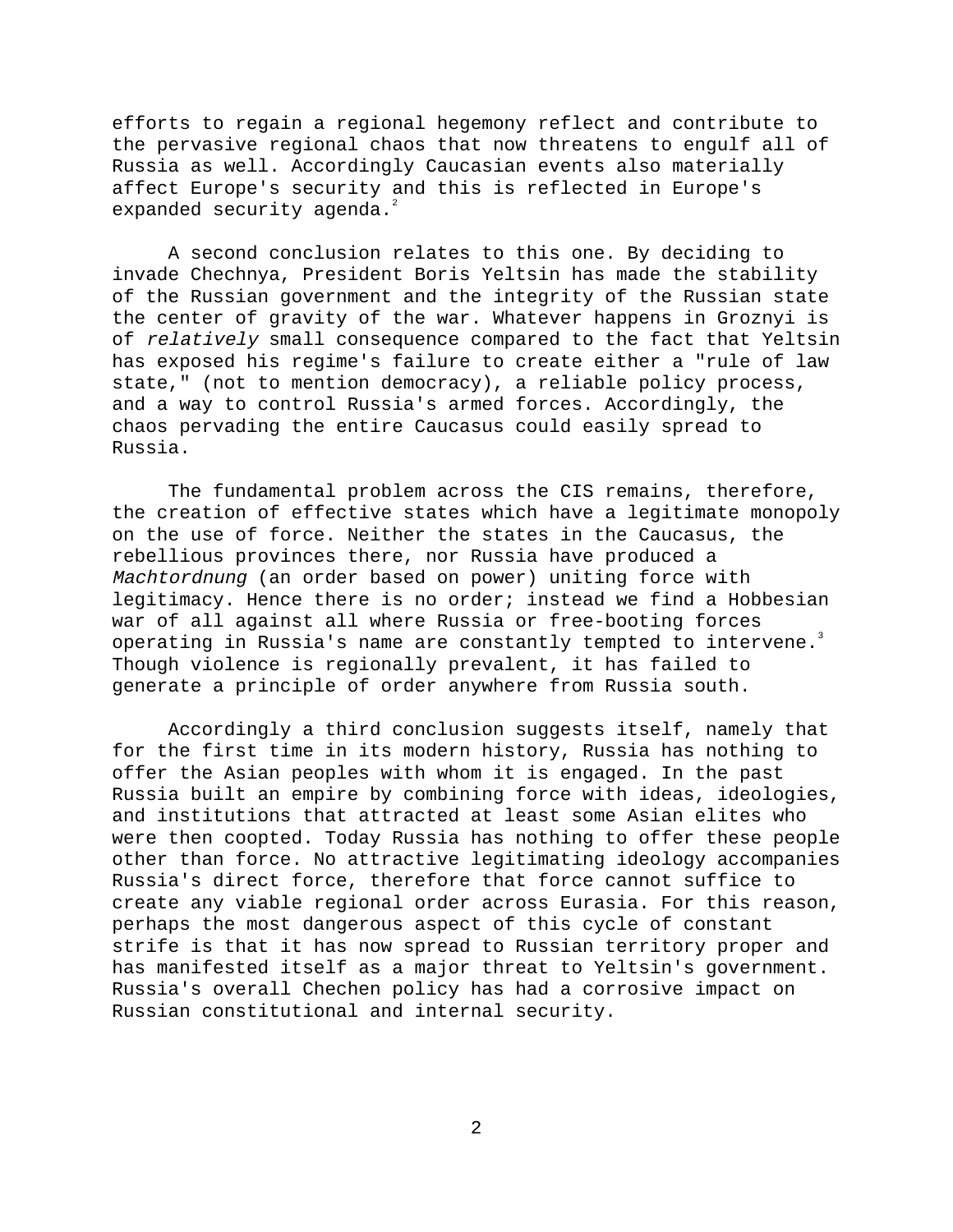efforts to regain a regional hegemony reflect and contribute to the pervasive regional chaos that now threatens to engulf all of Russia as well. Accordingly Caucasian events also materially affect Europe's security and this is reflected in Europe's expanded security agenda. $2$ 

A second conclusion relates to this one. By deciding to invade Chechnya, President Boris Yeltsin has made the stability of the Russian government and the integrity of the Russian state the center of gravity of the war. Whatever happens in Groznyi is of relatively small consequence compared to the fact that Yeltsin has exposed his regime's failure to create either a "rule of law state," (not to mention democracy), a reliable policy process, and a way to control Russia's armed forces. Accordingly, the chaos pervading the entire Caucasus could easily spread to Russia.

The fundamental problem across the CIS remains, therefore, the creation of effective states which have a legitimate monopoly on the use of force. Neither the states in the Caucasus, the rebellious provinces there, nor Russia have produced a Machtordnung (an order based on power) uniting force with legitimacy. Hence there is no order; instead we find a Hobbesian war of all against all where Russia or free-booting forces operating in Russia's name are constantly tempted to intervene.<sup>3</sup> Though violence is regionally prevalent, it has failed to generate a principle of order anywhere from Russia south.

Accordingly a third conclusion suggests itself, namely that for the first time in its modern history, Russia has nothing to offer the Asian peoples with whom it is engaged. In the past Russia built an empire by combining force with ideas, ideologies, and institutions that attracted at least some Asian elites who were then coopted. Today Russia has nothing to offer these people other than force. No attractive legitimating ideology accompanies Russia's direct force, therefore that force cannot suffice to create any viable regional order across Eurasia. For this reason, perhaps the most dangerous aspect of this cycle of constant strife is that it has now spread to Russian territory proper and has manifested itself as a major threat to Yeltsin's government. Russia's overall Chechen policy has had a corrosive impact on Russian constitutional and internal security.

2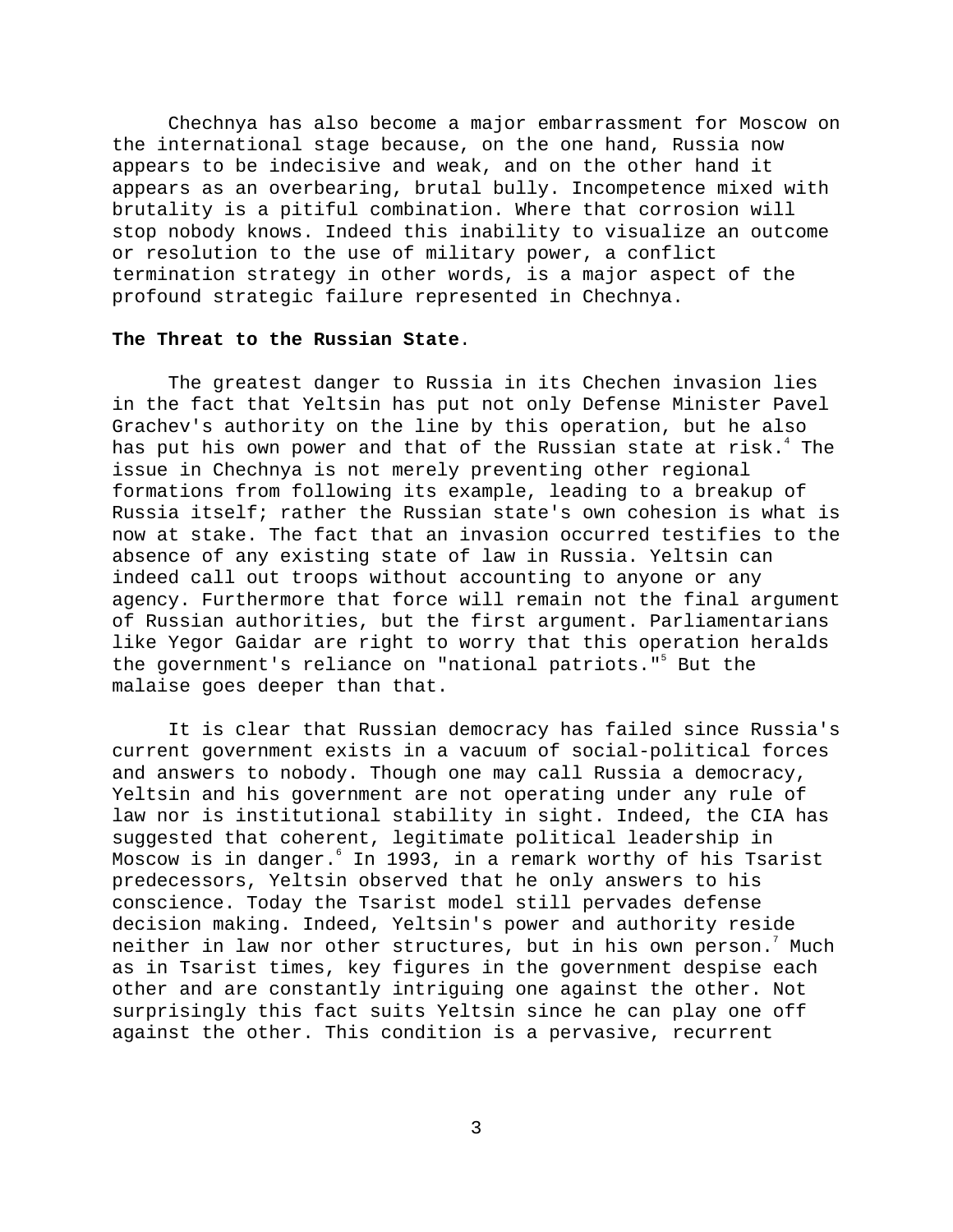Chechnya has also become a major embarrassment for Moscow on the international stage because, on the one hand, Russia now appears to be indecisive and weak, and on the other hand it appears as an overbearing, brutal bully. Incompetence mixed with brutality is a pitiful combination. Where that corrosion will stop nobody knows. Indeed this inability to visualize an outcome or resolution to the use of military power, a conflict termination strategy in other words, is a major aspect of the profound strategic failure represented in Chechnya.

### **The Threat to the Russian State**.

The greatest danger to Russia in its Chechen invasion lies in the fact that Yeltsin has put not only Defense Minister Pavel Grachev's authority on the line by this operation, but he also has put his own power and that of the Russian state at risk. $^{\text{4}}$  The issue in Chechnya is not merely preventing other regional formations from following its example, leading to a breakup of Russia itself; rather the Russian state's own cohesion is what is now at stake. The fact that an invasion occurred testifies to the absence of any existing state of law in Russia. Yeltsin can indeed call out troops without accounting to anyone or any agency. Furthermore that force will remain not the final argument of Russian authorities, but the first argument. Parliamentarians like Yegor Gaidar are right to worry that this operation heralds the government's reliance on "national patriots."<sup>5</sup> But the malaise goes deeper than that.

It is clear that Russian democracy has failed since Russia's current government exists in a vacuum of social-political forces and answers to nobody. Though one may call Russia a democracy, Yeltsin and his government are not operating under any rule of law nor is institutional stability in sight. Indeed, the CIA has suggested that coherent, legitimate political leadership in Moscow is in danger.6 In 1993, in a remark worthy of his Tsarist predecessors, Yeltsin observed that he only answers to his conscience. Today the Tsarist model still pervades defense decision making. Indeed, Yeltsin's power and authority reside neither in law nor other structures, but in his own person. $^7$  Much as in Tsarist times, key figures in the government despise each other and are constantly intriguing one against the other. Not surprisingly this fact suits Yeltsin since he can play one off against the other. This condition is a pervasive, recurrent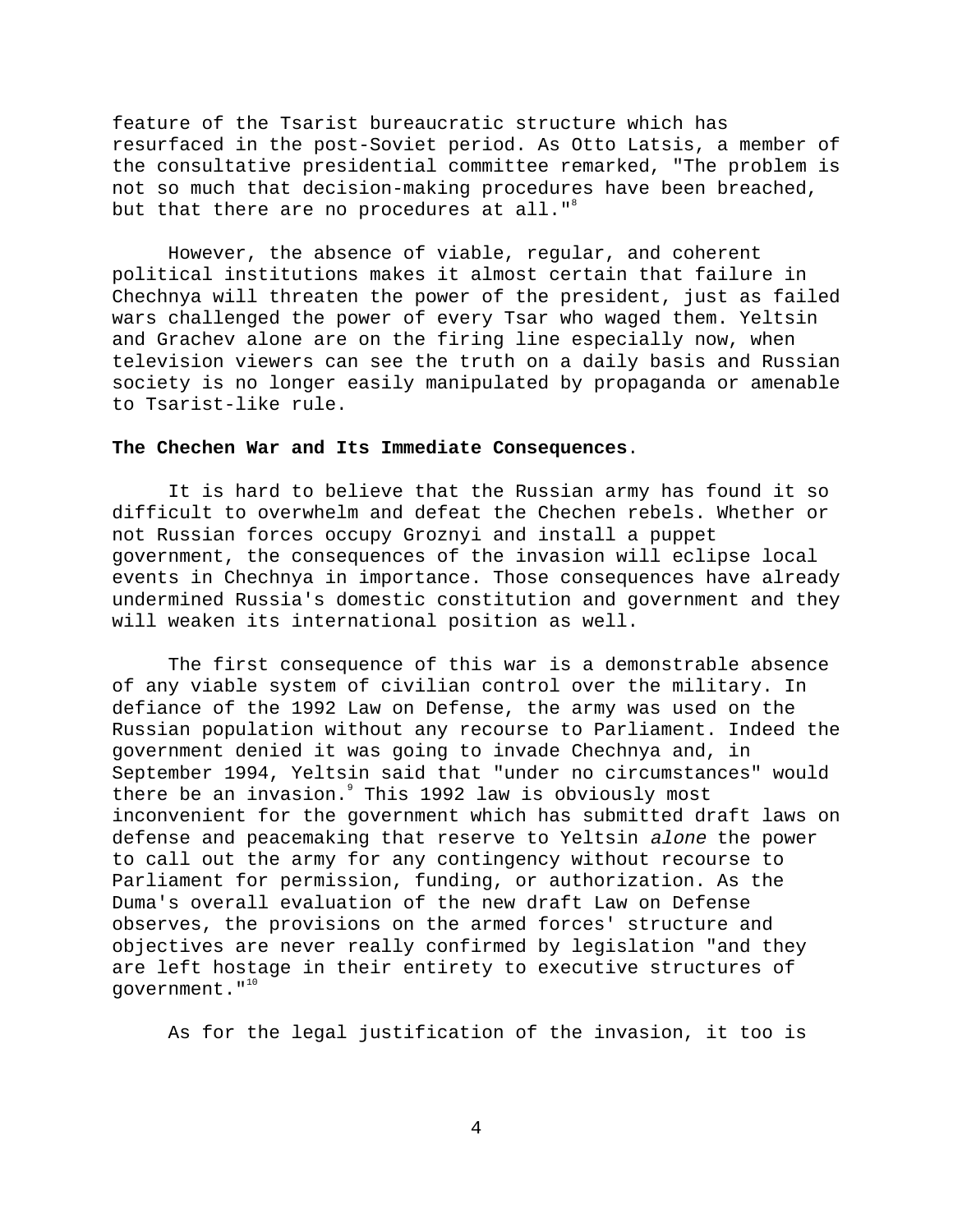feature of the Tsarist bureaucratic structure which has resurfaced in the post-Soviet period. As Otto Latsis, a member of the consultative presidential committee remarked, "The problem is not so much that decision-making procedures have been breached, but that there are no procedures at all."<sup>8</sup>

However, the absence of viable, regular, and coherent political institutions makes it almost certain that failure in Chechnya will threaten the power of the president, just as failed wars challenged the power of every Tsar who waged them. Yeltsin and Grachev alone are on the firing line especially now, when television viewers can see the truth on a daily basis and Russian society is no longer easily manipulated by propaganda or amenable to Tsarist-like rule.

### **The Chechen War and Its Immediate Consequences**.

It is hard to believe that the Russian army has found it so difficult to overwhelm and defeat the Chechen rebels. Whether or not Russian forces occupy Groznyi and install a puppet government, the consequences of the invasion will eclipse local events in Chechnya in importance. Those consequences have already undermined Russia's domestic constitution and government and they will weaken its international position as well.

The first consequence of this war is a demonstrable absence of any viable system of civilian control over the military. In defiance of the 1992 Law on Defense, the army was used on the Russian population without any recourse to Parliament. Indeed the government denied it was going to invade Chechnya and, in September 1994, Yeltsin said that "under no circumstances" would there be an invasion. This 1992 law is obviously most inconvenient for the government which has submitted draft laws on defense and peacemaking that reserve to Yeltsin alone the power to call out the army for any contingency without recourse to Parliament for permission, funding, or authorization. As the Duma's overall evaluation of the new draft Law on Defense observes, the provisions on the armed forces' structure and objectives are never really confirmed by legislation "and they are left hostage in their entirety to executive structures of government."<sup>10</sup>

As for the legal justification of the invasion, it too is

4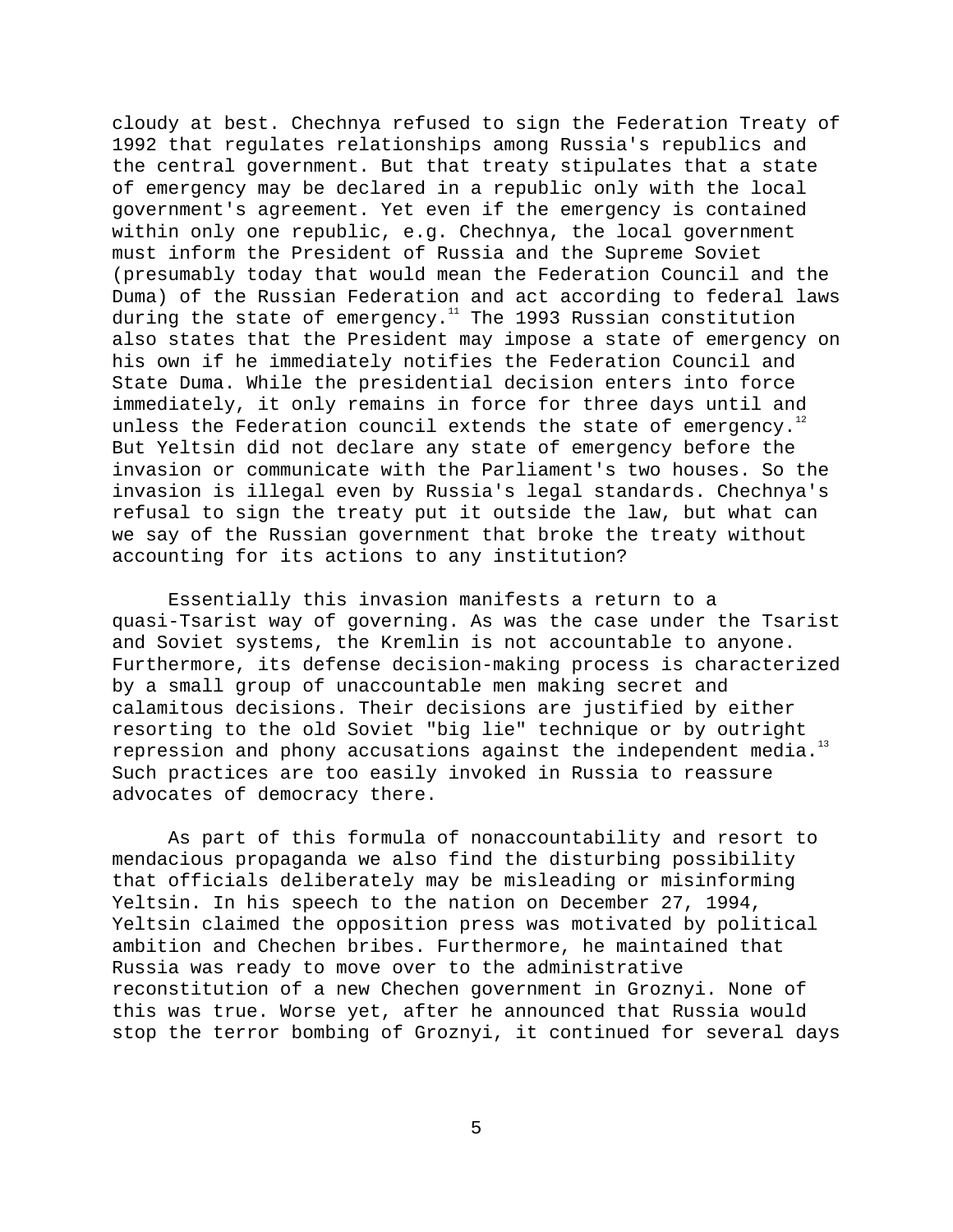cloudy at best. Chechnya refused to sign the Federation Treaty of 1992 that regulates relationships among Russia's republics and the central government. But that treaty stipulates that a state of emergency may be declared in a republic only with the local government's agreement. Yet even if the emergency is contained within only one republic, e.g. Chechnya, the local government must inform the President of Russia and the Supreme Soviet (presumably today that would mean the Federation Council and the Duma) of the Russian Federation and act according to federal laws during the state of emergency. $11$  The 1993 Russian constitution also states that the President may impose a state of emergency on his own if he immediately notifies the Federation Council and State Duma. While the presidential decision enters into force immediately, it only remains in force for three days until and unless the Federation council extends the state of emergency.<sup>12</sup> But Yeltsin did not declare any state of emergency before the invasion or communicate with the Parliament's two houses. So the invasion is illegal even by Russia's legal standards. Chechnya's refusal to sign the treaty put it outside the law, but what can we say of the Russian government that broke the treaty without accounting for its actions to any institution?

Essentially this invasion manifests a return to a quasi-Tsarist way of governing. As was the case under the Tsarist and Soviet systems, the Kremlin is not accountable to anyone. Furthermore, its defense decision-making process is characterized by a small group of unaccountable men making secret and calamitous decisions. Their decisions are justified by either resorting to the old Soviet "big lie" technique or by outright repression and phony accusations against the independent media. $13$ Such practices are too easily invoked in Russia to reassure advocates of democracy there.

As part of this formula of nonaccountability and resort to mendacious propaganda we also find the disturbing possibility that officials deliberately may be misleading or misinforming Yeltsin. In his speech to the nation on December 27, 1994, Yeltsin claimed the opposition press was motivated by political ambition and Chechen bribes. Furthermore, he maintained that Russia was ready to move over to the administrative reconstitution of a new Chechen government in Groznyi. None of this was true. Worse yet, after he announced that Russia would stop the terror bombing of Groznyi, it continued for several days

5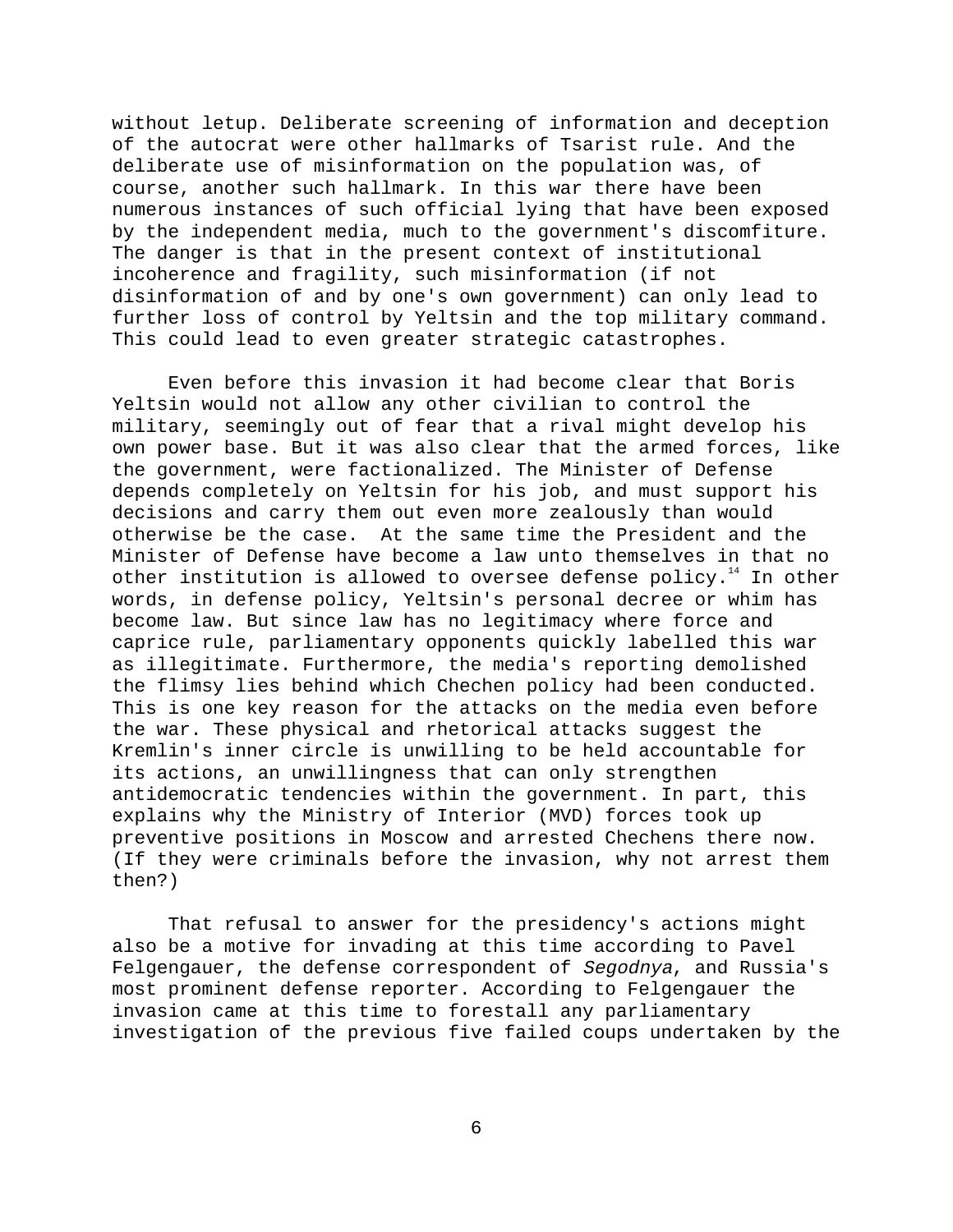without letup. Deliberate screening of information and deception of the autocrat were other hallmarks of Tsarist rule. And the deliberate use of misinformation on the population was, of course, another such hallmark. In this war there have been numerous instances of such official lying that have been exposed by the independent media, much to the government's discomfiture. The danger is that in the present context of institutional incoherence and fragility, such misinformation (if not disinformation of and by one's own government) can only lead to further loss of control by Yeltsin and the top military command. This could lead to even greater strategic catastrophes.

Even before this invasion it had become clear that Boris Yeltsin would not allow any other civilian to control the military, seemingly out of fear that a rival might develop his own power base. But it was also clear that the armed forces, like the government, were factionalized. The Minister of Defense depends completely on Yeltsin for his job, and must support his decisions and carry them out even more zealously than would otherwise be the case. At the same time the President and the Minister of Defense have become a law unto themselves in that no other institution is allowed to oversee defense policy.<sup>14</sup> In other words, in defense policy, Yeltsin's personal decree or whim has become law. But since law has no legitimacy where force and caprice rule, parliamentary opponents quickly labelled this war as illegitimate. Furthermore, the media's reporting demolished the flimsy lies behind which Chechen policy had been conducted. This is one key reason for the attacks on the media even before the war. These physical and rhetorical attacks suggest the Kremlin's inner circle is unwilling to be held accountable for its actions, an unwillingness that can only strengthen antidemocratic tendencies within the government. In part, this explains why the Ministry of Interior (MVD) forces took up preventive positions in Moscow and arrested Chechens there now. (If they were criminals before the invasion, why not arrest them then?)

That refusal to answer for the presidency's actions might also be a motive for invading at this time according to Pavel Felgengauer, the defense correspondent of Segodnya, and Russia's most prominent defense reporter. According to Felgengauer the invasion came at this time to forestall any parliamentary investigation of the previous five failed coups undertaken by the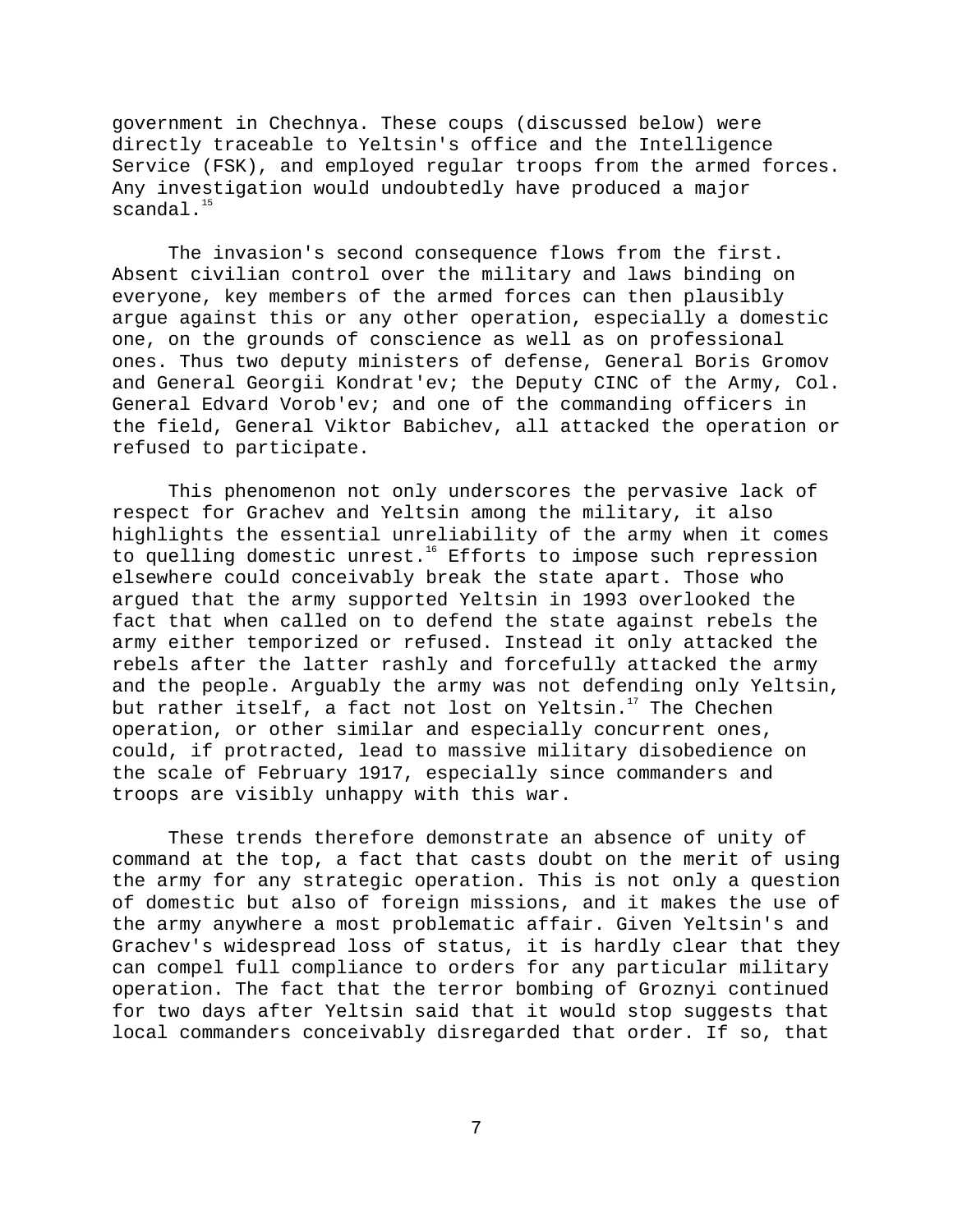government in Chechnya. These coups (discussed below) were directly traceable to Yeltsin's office and the Intelligence Service (FSK), and employed regular troops from the armed forces. Any investigation would undoubtedly have produced a major scandal. $^{15}$ 

The invasion's second consequence flows from the first. Absent civilian control over the military and laws binding on everyone, key members of the armed forces can then plausibly argue against this or any other operation, especially a domestic one, on the grounds of conscience as well as on professional ones. Thus two deputy ministers of defense, General Boris Gromov and General Georgii Kondrat'ev; the Deputy CINC of the Army, Col. General Edvard Vorob'ev; and one of the commanding officers in the field, General Viktor Babichev, all attacked the operation or refused to participate.

This phenomenon not only underscores the pervasive lack of respect for Grachev and Yeltsin among the military, it also highlights the essential unreliability of the army when it comes to quelling domestic unrest.<sup>16</sup> Efforts to impose such repression elsewhere could conceivably break the state apart. Those who argued that the army supported Yeltsin in 1993 overlooked the fact that when called on to defend the state against rebels the army either temporized or refused. Instead it only attacked the rebels after the latter rashly and forcefully attacked the army and the people. Arguably the army was not defending only Yeltsin, but rather itself, a fact not lost on Yeltsin.<sup>17</sup> The Chechen operation, or other similar and especially concurrent ones, could, if protracted, lead to massive military disobedience on the scale of February 1917, especially since commanders and troops are visibly unhappy with this war.

These trends therefore demonstrate an absence of unity of command at the top, a fact that casts doubt on the merit of using the army for any strategic operation. This is not only a question of domestic but also of foreign missions, and it makes the use of the army anywhere a most problematic affair. Given Yeltsin's and Grachev's widespread loss of status, it is hardly clear that they can compel full compliance to orders for any particular military operation. The fact that the terror bombing of Groznyi continued for two days after Yeltsin said that it would stop suggests that local commanders conceivably disregarded that order. If so, that

7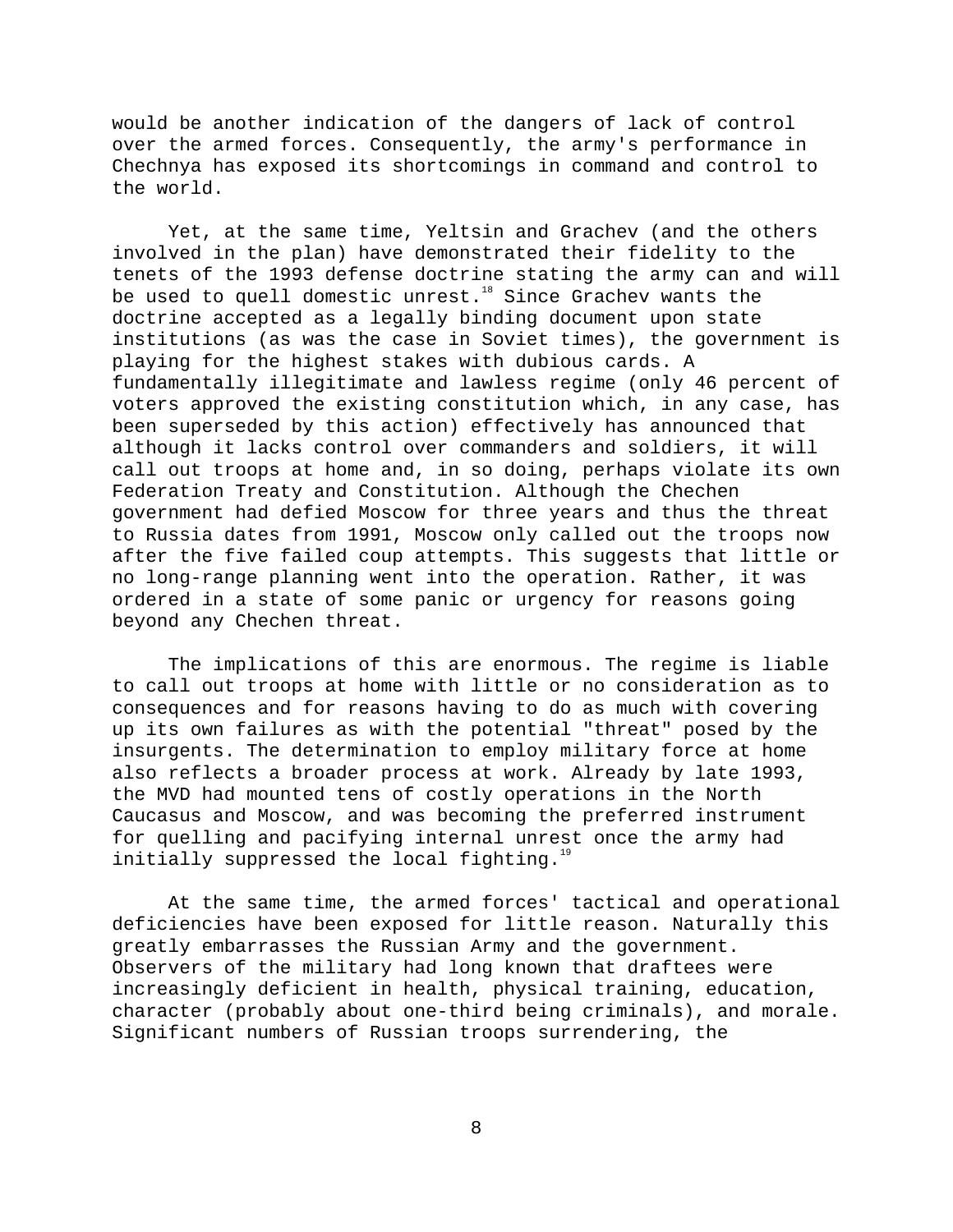would be another indication of the dangers of lack of control over the armed forces. Consequently, the army's performance in Chechnya has exposed its shortcomings in command and control to the world.

Yet, at the same time, Yeltsin and Grachev (and the others involved in the plan) have demonstrated their fidelity to the tenets of the 1993 defense doctrine stating the army can and will be used to quell domestic unrest.<sup>18</sup> Since Grachev wants the doctrine accepted as a legally binding document upon state institutions (as was the case in Soviet times), the government is playing for the highest stakes with dubious cards. A fundamentally illegitimate and lawless regime (only 46 percent of voters approved the existing constitution which, in any case, has been superseded by this action) effectively has announced that although it lacks control over commanders and soldiers, it will call out troops at home and, in so doing, perhaps violate its own Federation Treaty and Constitution. Although the Chechen government had defied Moscow for three years and thus the threat to Russia dates from 1991, Moscow only called out the troops now after the five failed coup attempts. This suggests that little or no long-range planning went into the operation. Rather, it was ordered in a state of some panic or urgency for reasons going beyond any Chechen threat.

The implications of this are enormous. The regime is liable to call out troops at home with little or no consideration as to consequences and for reasons having to do as much with covering up its own failures as with the potential "threat" posed by the insurgents. The determination to employ military force at home also reflects a broader process at work. Already by late 1993, the MVD had mounted tens of costly operations in the North Caucasus and Moscow, and was becoming the preferred instrument for quelling and pacifying internal unrest once the army had initially suppressed the local fighting.<sup>19</sup>

At the same time, the armed forces' tactical and operational deficiencies have been exposed for little reason. Naturally this greatly embarrasses the Russian Army and the government. Observers of the military had long known that draftees were increasingly deficient in health, physical training, education, character (probably about one-third being criminals), and morale. Significant numbers of Russian troops surrendering, the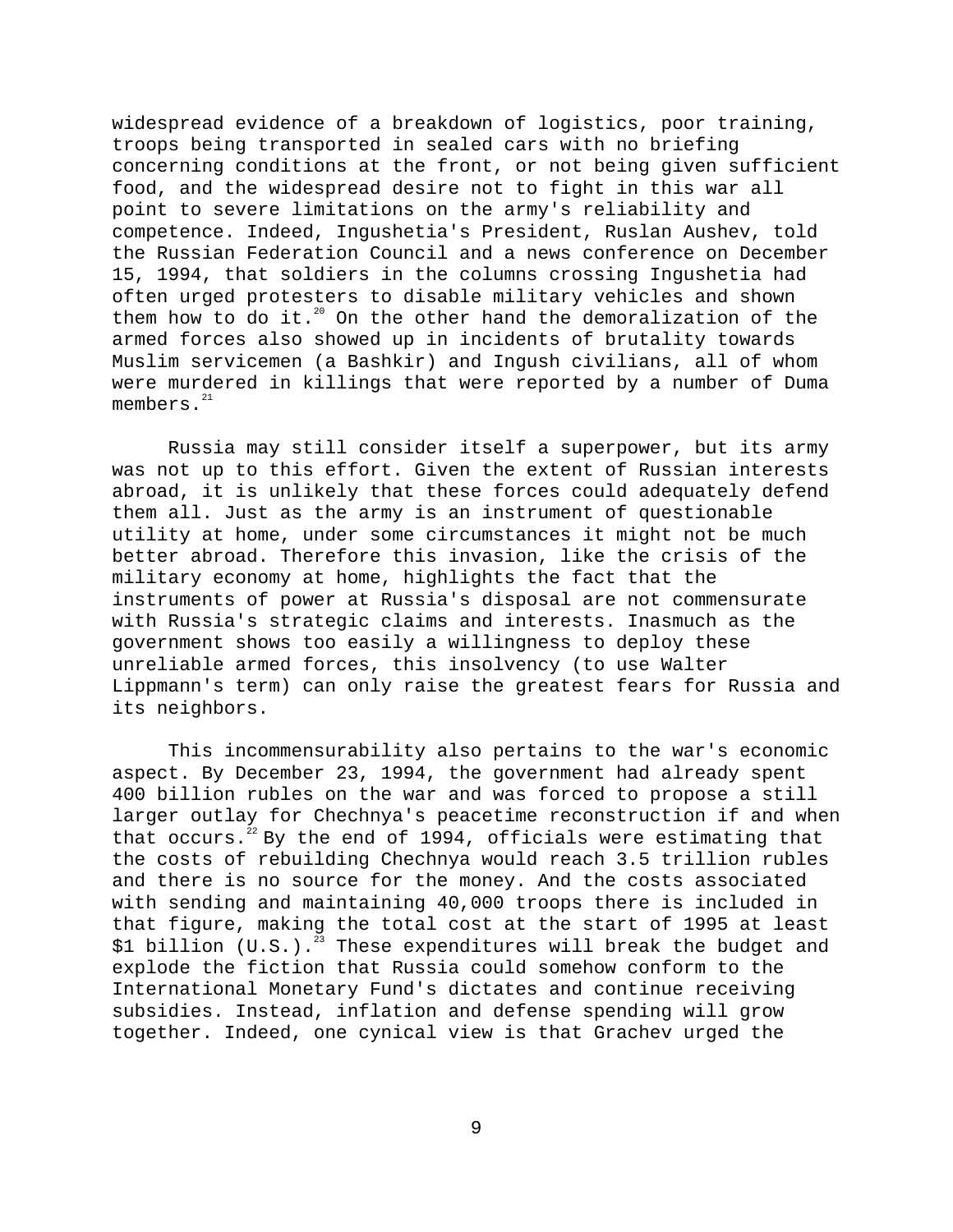widespread evidence of a breakdown of logistics, poor training, troops being transported in sealed cars with no briefing concerning conditions at the front, or not being given sufficient food, and the widespread desire not to fight in this war all point to severe limitations on the army's reliability and competence. Indeed, Ingushetia's President, Ruslan Aushev, told the Russian Federation Council and a news conference on December 15, 1994, that soldiers in the columns crossing Ingushetia had often urged protesters to disable military vehicles and shown them how to do it. $20$  On the other hand the demoralization of the armed forces also showed up in incidents of brutality towards Muslim servicemen (a Bashkir) and Ingush civilians, all of whom were murdered in killings that were reported by a number of Duma members. $^{21}$ 

Russia may still consider itself a superpower, but its army was not up to this effort. Given the extent of Russian interests abroad, it is unlikely that these forces could adequately defend them all. Just as the army is an instrument of questionable utility at home, under some circumstances it might not be much better abroad. Therefore this invasion, like the crisis of the military economy at home, highlights the fact that the instruments of power at Russia's disposal are not commensurate with Russia's strategic claims and interests. Inasmuch as the government shows too easily a willingness to deploy these unreliable armed forces, this insolvency (to use Walter Lippmann's term) can only raise the greatest fears for Russia and its neighbors.

This incommensurability also pertains to the war's economic aspect. By December 23, 1994, the government had already spent 400 billion rubles on the war and was forced to propose a still larger outlay for Chechnya's peacetime reconstruction if and when that occurs.<sup>22</sup> By the end of 1994, officials were estimating that the costs of rebuilding Chechnya would reach 3.5 trillion rubles and there is no source for the money. And the costs associated with sending and maintaining 40,000 troops there is included in that figure, making the total cost at the start of 1995 at least \$1 billion (U.S.).<sup>23</sup> These expenditures will break the budget and explode the fiction that Russia could somehow conform to the International Monetary Fund's dictates and continue receiving subsidies. Instead, inflation and defense spending will grow together. Indeed, one cynical view is that Grachev urged the

9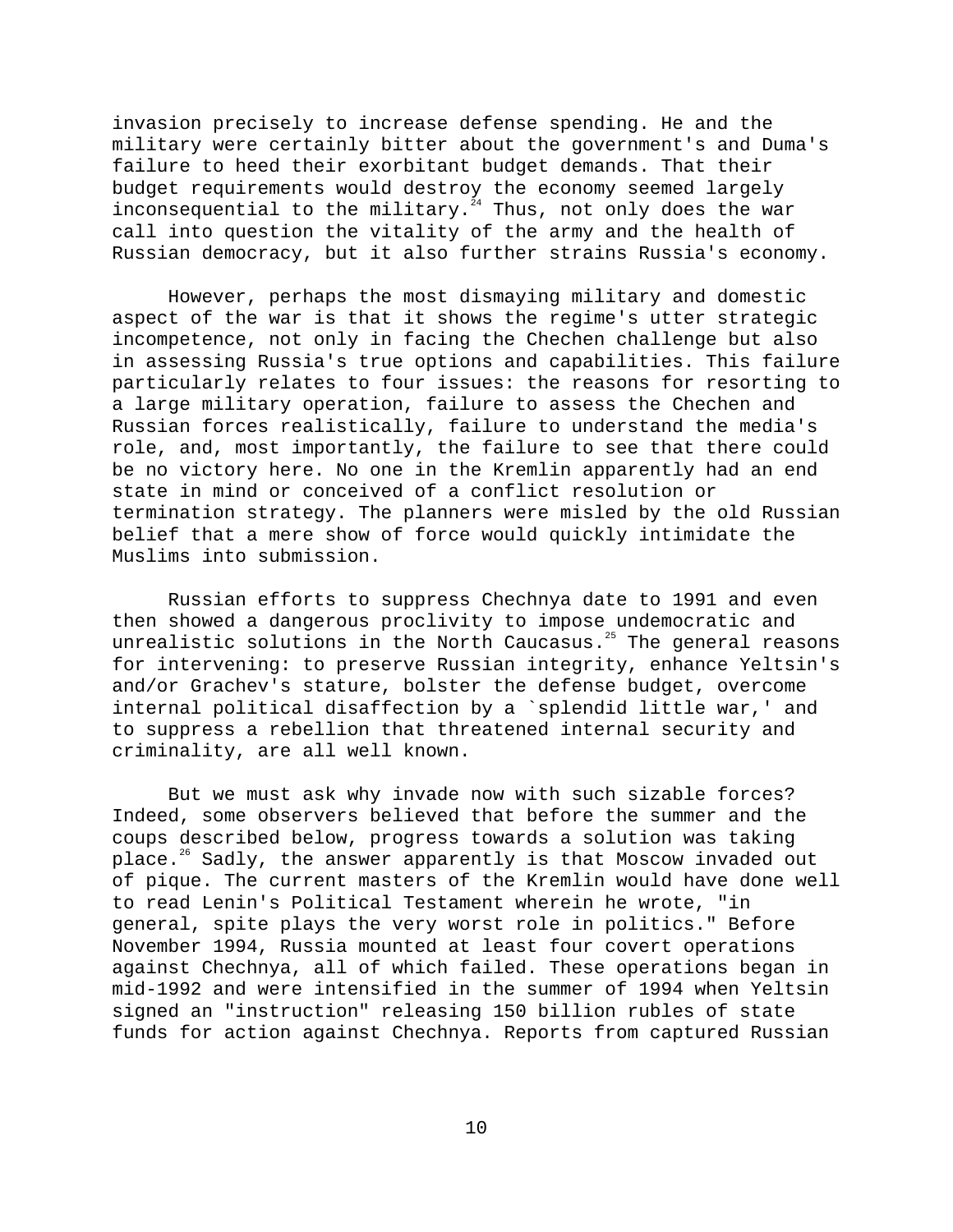invasion precisely to increase defense spending. He and the military were certainly bitter about the government's and Duma's failure to heed their exorbitant budget demands. That their budget requirements would destroy the economy seemed largely inconsequential to the military. $24$  Thus, not only does the war call into question the vitality of the army and the health of Russian democracy, but it also further strains Russia's economy.

However, perhaps the most dismaying military and domestic aspect of the war is that it shows the regime's utter strategic incompetence, not only in facing the Chechen challenge but also in assessing Russia's true options and capabilities. This failure particularly relates to four issues: the reasons for resorting to a large military operation, failure to assess the Chechen and Russian forces realistically, failure to understand the media's role, and, most importantly, the failure to see that there could be no victory here. No one in the Kremlin apparently had an end state in mind or conceived of a conflict resolution or termination strategy. The planners were misled by the old Russian belief that a mere show of force would quickly intimidate the Muslims into submission.

Russian efforts to suppress Chechnya date to 1991 and even then showed a dangerous proclivity to impose undemocratic and unrealistic solutions in the North Caucasus. $25$  The general reasons for intervening: to preserve Russian integrity, enhance Yeltsin's and/or Grachev's stature, bolster the defense budget, overcome internal political disaffection by a `splendid little war,' and to suppress a rebellion that threatened internal security and criminality, are all well known.

But we must ask why invade now with such sizable forces? Indeed, some observers believed that before the summer and the coups described below, progress towards a solution was taking place.<sup>26</sup> Sadly, the answer apparently is that Moscow invaded out of pique. The current masters of the Kremlin would have done well to read Lenin's Political Testament wherein he wrote, "in general, spite plays the very worst role in politics." Before November 1994, Russia mounted at least four covert operations against Chechnya, all of which failed. These operations began in mid-1992 and were intensified in the summer of 1994 when Yeltsin signed an "instruction" releasing 150 billion rubles of state funds for action against Chechnya. Reports from captured Russian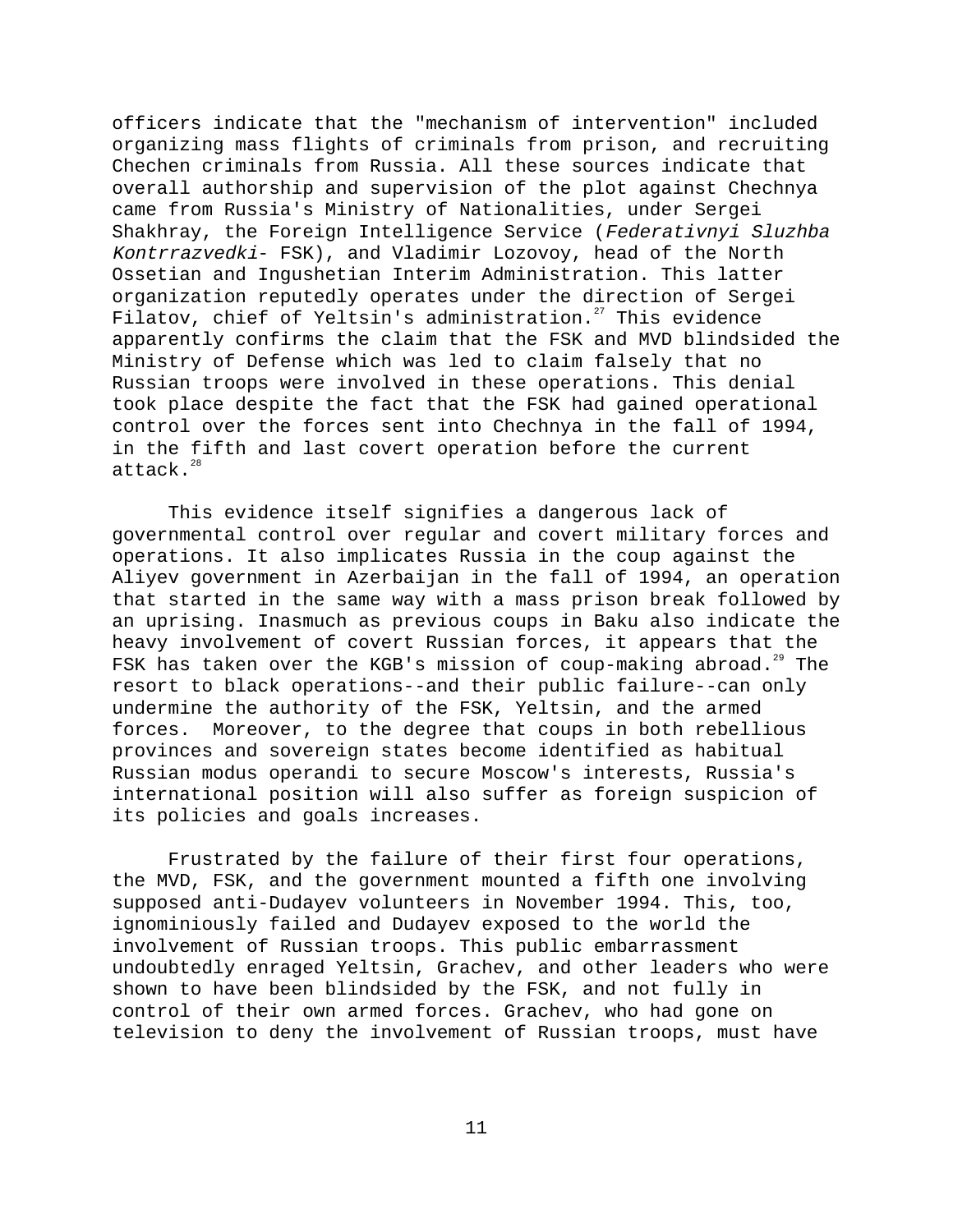officers indicate that the "mechanism of intervention" included organizing mass flights of criminals from prison, and recruiting Chechen criminals from Russia. All these sources indicate that overall authorship and supervision of the plot against Chechnya came from Russia's Ministry of Nationalities, under Sergei Shakhray, the Foreign Intelligence Service (Federativnyi Sluzhba Kontrrazvedki- FSK), and Vladimir Lozovoy, head of the North Ossetian and Ingushetian Interim Administration. This latter organization reputedly operates under the direction of Sergei Filatov, chief of Yeltsin's administration.<sup>27</sup> This evidence apparently confirms the claim that the FSK and MVD blindsided the Ministry of Defense which was led to claim falsely that no Russian troops were involved in these operations. This denial took place despite the fact that the FSK had gained operational control over the forces sent into Chechnya in the fall of 1994, in the fifth and last covert operation before the current attack. $^{28}$ 

This evidence itself signifies a dangerous lack of governmental control over regular and covert military forces and operations. It also implicates Russia in the coup against the Aliyev government in Azerbaijan in the fall of 1994, an operation that started in the same way with a mass prison break followed by an uprising. Inasmuch as previous coups in Baku also indicate the heavy involvement of covert Russian forces, it appears that the FSK has taken over the KGB's mission of coup-making abroad.<sup>29</sup> The resort to black operations--and their public failure--can only undermine the authority of the FSK, Yeltsin, and the armed forces. Moreover, to the degree that coups in both rebellious provinces and sovereign states become identified as habitual Russian modus operandi to secure Moscow's interests, Russia's international position will also suffer as foreign suspicion of its policies and goals increases.

Frustrated by the failure of their first four operations, the MVD, FSK, and the government mounted a fifth one involving supposed anti-Dudayev volunteers in November 1994. This, too, ignominiously failed and Dudayev exposed to the world the involvement of Russian troops. This public embarrassment undoubtedly enraged Yeltsin, Grachev, and other leaders who were shown to have been blindsided by the FSK, and not fully in control of their own armed forces. Grachev, who had gone on television to deny the involvement of Russian troops, must have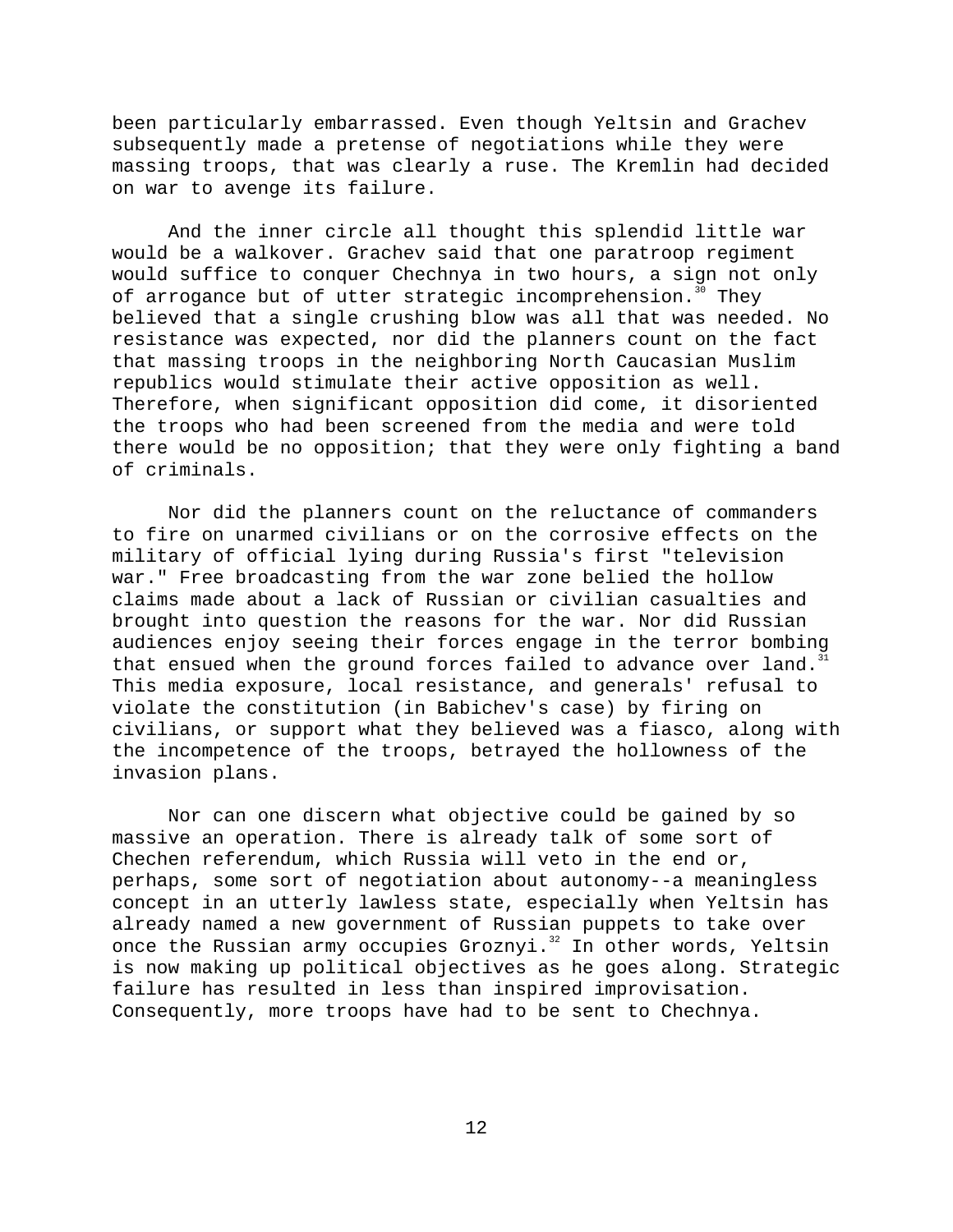been particularly embarrassed. Even though Yeltsin and Grachev subsequently made a pretense of negotiations while they were massing troops, that was clearly a ruse. The Kremlin had decided on war to avenge its failure.

And the inner circle all thought this splendid little war would be a walkover. Grachev said that one paratroop regiment would suffice to conquer Chechnya in two hours, a sign not only of arrogance but of utter strategic incomprehension.<sup>30</sup> They believed that a single crushing blow was all that was needed. No resistance was expected, nor did the planners count on the fact that massing troops in the neighboring North Caucasian Muslim republics would stimulate their active opposition as well. Therefore, when significant opposition did come, it disoriented the troops who had been screened from the media and were told there would be no opposition; that they were only fighting a band of criminals.

Nor did the planners count on the reluctance of commanders to fire on unarmed civilians or on the corrosive effects on the military of official lying during Russia's first "television war." Free broadcasting from the war zone belied the hollow claims made about a lack of Russian or civilian casualties and brought into question the reasons for the war. Nor did Russian audiences enjoy seeing their forces engage in the terror bombing that ensued when the ground forces failed to advance over land.<sup>31</sup> This media exposure, local resistance, and generals' refusal to violate the constitution (in Babichev's case) by firing on civilians, or support what they believed was a fiasco, along with the incompetence of the troops, betrayed the hollowness of the invasion plans.

Nor can one discern what objective could be gained by so massive an operation. There is already talk of some sort of Chechen referendum, which Russia will veto in the end or, perhaps, some sort of negotiation about autonomy--a meaningless concept in an utterly lawless state, especially when Yeltsin has already named a new government of Russian puppets to take over once the Russian army occupies Groznyi.<sup>32</sup> In other words, Yeltsin is now making up political objectives as he goes along. Strategic failure has resulted in less than inspired improvisation. Consequently, more troops have had to be sent to Chechnya.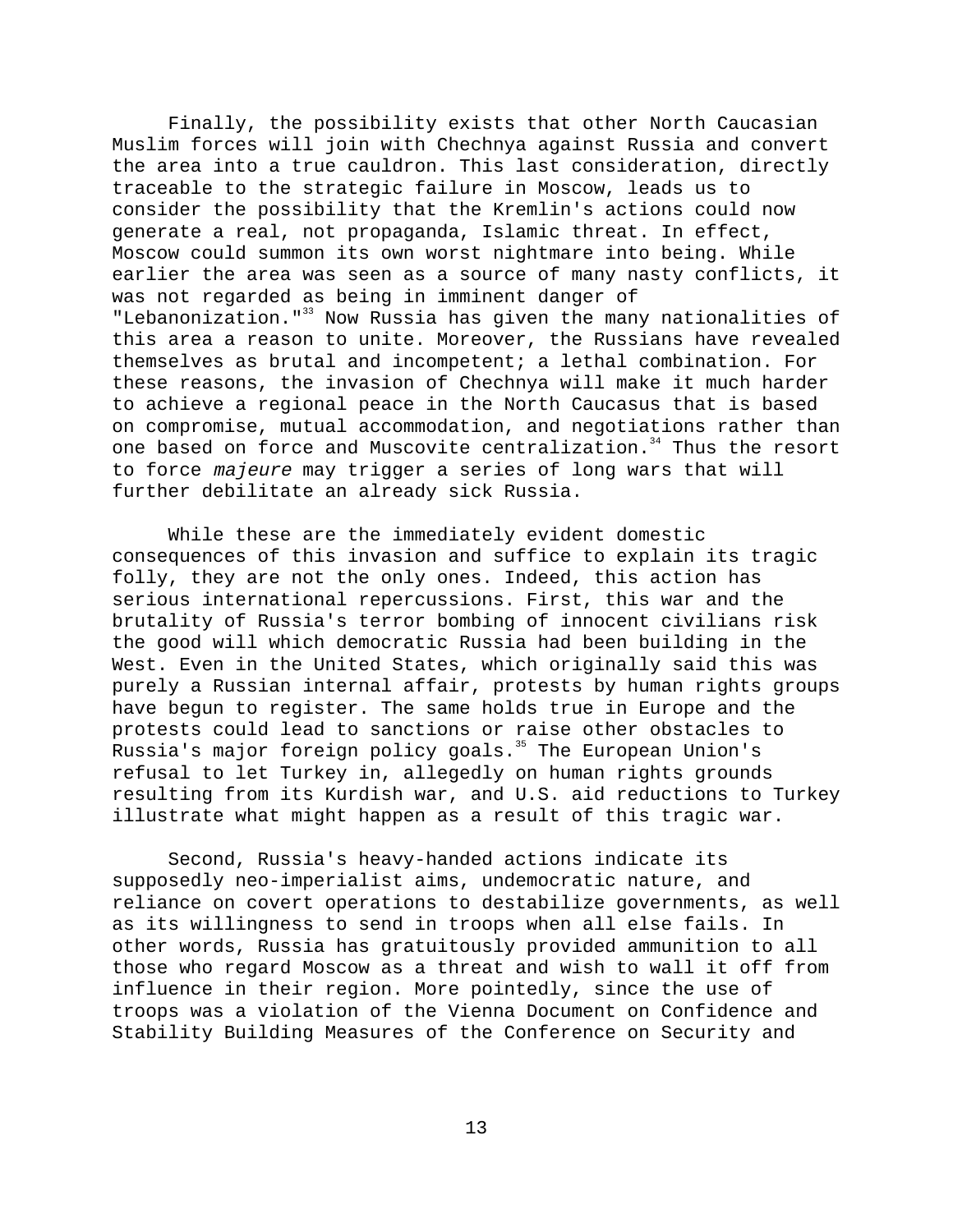Finally, the possibility exists that other North Caucasian Muslim forces will join with Chechnya against Russia and convert the area into a true cauldron. This last consideration, directly traceable to the strategic failure in Moscow, leads us to consider the possibility that the Kremlin's actions could now generate a real, not propaganda, Islamic threat. In effect, Moscow could summon its own worst nightmare into being. While earlier the area was seen as a source of many nasty conflicts, it was not regarded as being in imminent danger of "Lebanonization."<sup>33</sup> Now Russia has given the many nationalities of this area a reason to unite. Moreover, the Russians have revealed themselves as brutal and incompetent; a lethal combination. For these reasons, the invasion of Chechnya will make it much harder to achieve a regional peace in the North Caucasus that is based on compromise, mutual accommodation, and negotiations rather than one based on force and Muscovite centralization.<sup>34</sup> Thus the resort to force majeure may trigger a series of long wars that will further debilitate an already sick Russia.

While these are the immediately evident domestic consequences of this invasion and suffice to explain its tragic folly, they are not the only ones. Indeed, this action has serious international repercussions. First, this war and the brutality of Russia's terror bombing of innocent civilians risk the good will which democratic Russia had been building in the West. Even in the United States, which originally said this was purely a Russian internal affair, protests by human rights groups have begun to register. The same holds true in Europe and the protests could lead to sanctions or raise other obstacles to Russia's major foreign policy goals.<sup>35</sup> The European Union's refusal to let Turkey in, allegedly on human rights grounds resulting from its Kurdish war, and U.S. aid reductions to Turkey illustrate what might happen as a result of this tragic war.

Second, Russia's heavy-handed actions indicate its supposedly neo-imperialist aims, undemocratic nature, and reliance on covert operations to destabilize governments, as well as its willingness to send in troops when all else fails. In other words, Russia has gratuitously provided ammunition to all those who regard Moscow as a threat and wish to wall it off from influence in their region. More pointedly, since the use of troops was a violation of the Vienna Document on Confidence and Stability Building Measures of the Conference on Security and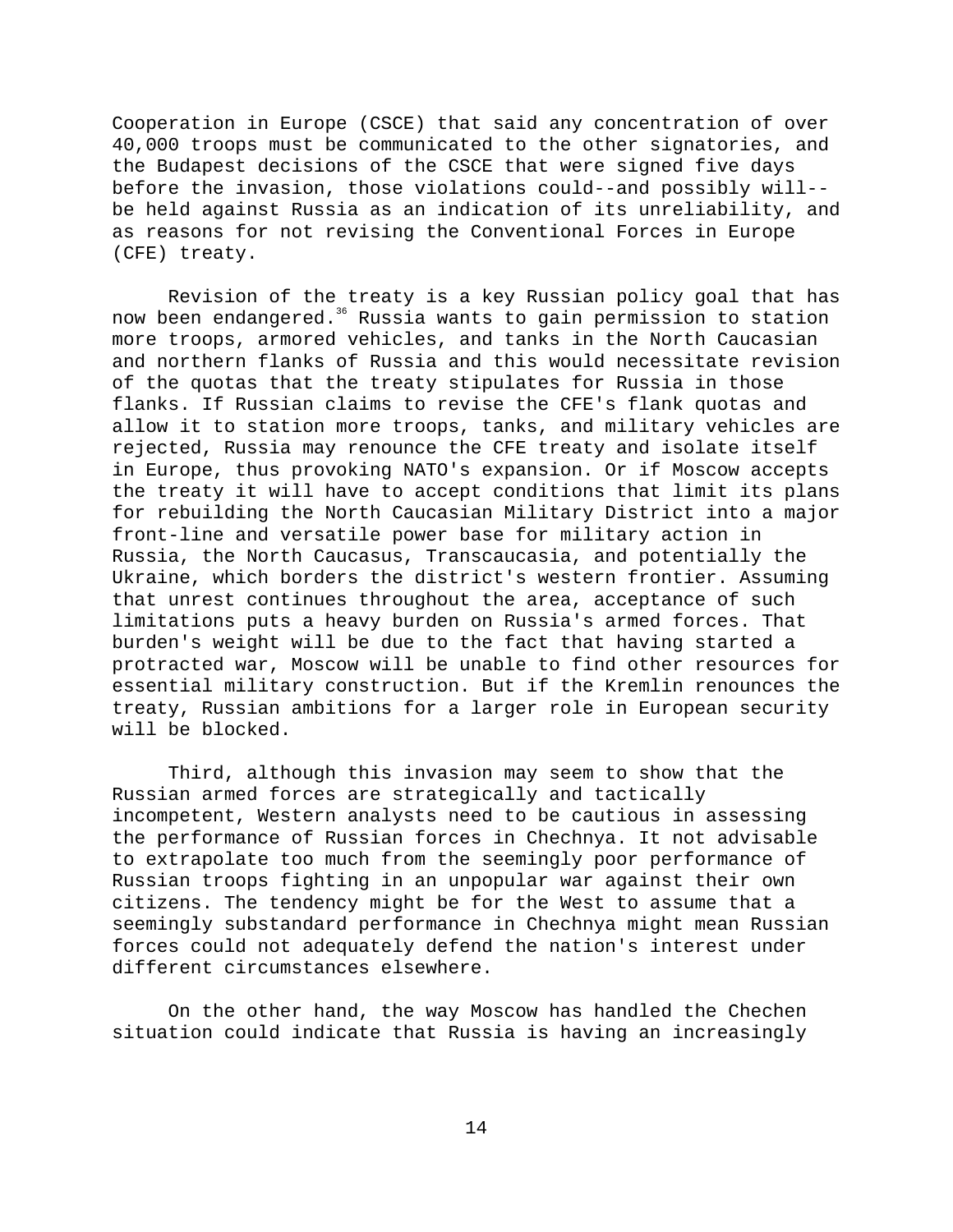Cooperation in Europe (CSCE) that said any concentration of over 40,000 troops must be communicated to the other signatories, and the Budapest decisions of the CSCE that were signed five days before the invasion, those violations could--and possibly will- be held against Russia as an indication of its unreliability, and as reasons for not revising the Conventional Forces in Europe (CFE) treaty.

Revision of the treaty is a key Russian policy goal that has now been endangered.<sup>36</sup> Russia wants to gain permission to station more troops, armored vehicles, and tanks in the North Caucasian and northern flanks of Russia and this would necessitate revision of the quotas that the treaty stipulates for Russia in those flanks. If Russian claims to revise the CFE's flank quotas and allow it to station more troops, tanks, and military vehicles are rejected, Russia may renounce the CFE treaty and isolate itself in Europe, thus provoking NATO's expansion. Or if Moscow accepts the treaty it will have to accept conditions that limit its plans for rebuilding the North Caucasian Military District into a major front-line and versatile power base for military action in Russia, the North Caucasus, Transcaucasia, and potentially the Ukraine, which borders the district's western frontier. Assuming that unrest continues throughout the area, acceptance of such limitations puts a heavy burden on Russia's armed forces. That burden's weight will be due to the fact that having started a protracted war, Moscow will be unable to find other resources for essential military construction. But if the Kremlin renounces the treaty, Russian ambitions for a larger role in European security will be blocked.

Third, although this invasion may seem to show that the Russian armed forces are strategically and tactically incompetent, Western analysts need to be cautious in assessing the performance of Russian forces in Chechnya. It not advisable to extrapolate too much from the seemingly poor performance of Russian troops fighting in an unpopular war against their own citizens. The tendency might be for the West to assume that a seemingly substandard performance in Chechnya might mean Russian forces could not adequately defend the nation's interest under different circumstances elsewhere.

On the other hand, the way Moscow has handled the Chechen situation could indicate that Russia is having an increasingly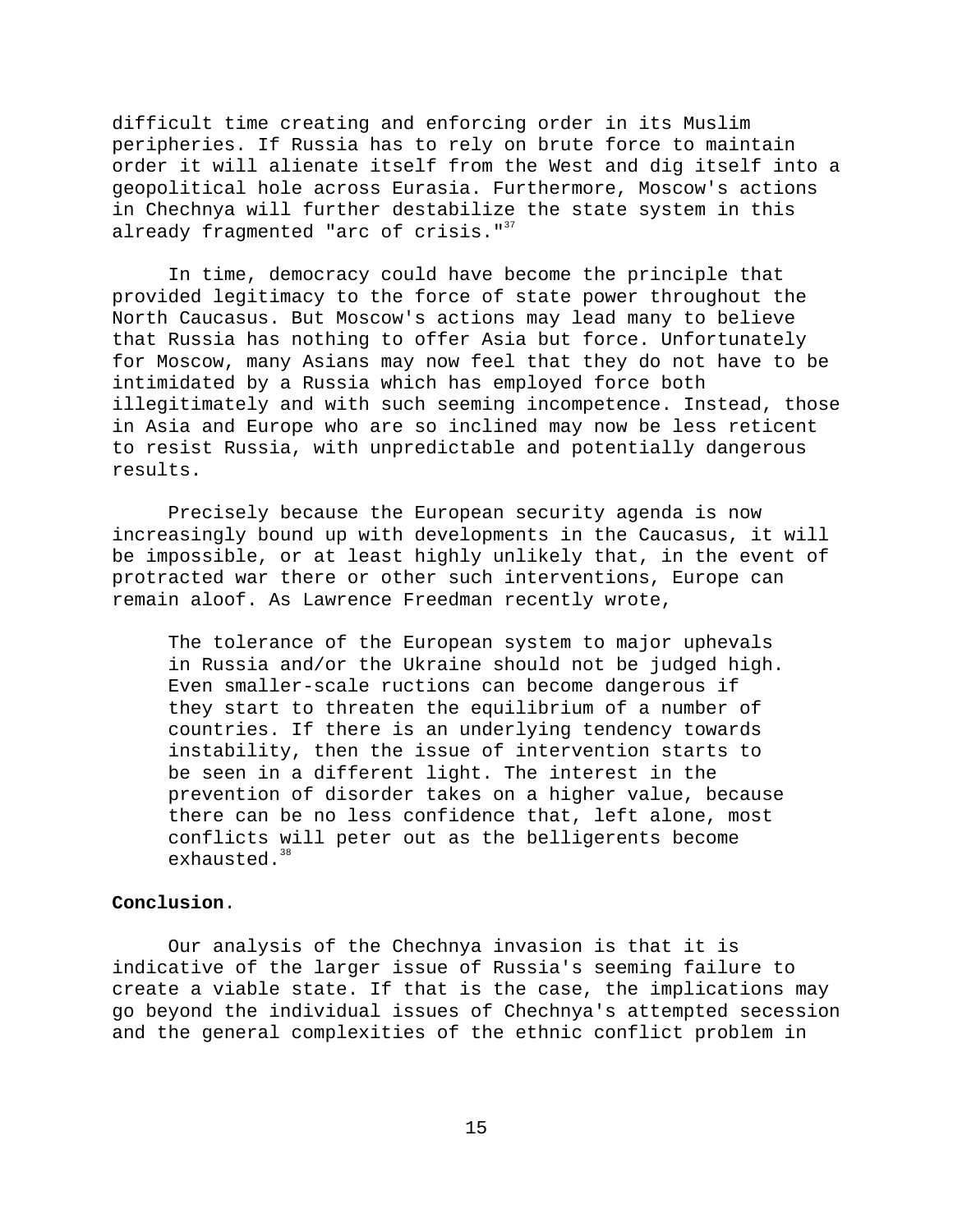difficult time creating and enforcing order in its Muslim peripheries. If Russia has to rely on brute force to maintain order it will alienate itself from the West and dig itself into a geopolitical hole across Eurasia. Furthermore, Moscow's actions in Chechnya will further destabilize the state system in this already fragmented "arc of crisis."<sup>37</sup>

In time, democracy could have become the principle that provided legitimacy to the force of state power throughout the North Caucasus. But Moscow's actions may lead many to believe that Russia has nothing to offer Asia but force. Unfortunately for Moscow, many Asians may now feel that they do not have to be intimidated by a Russia which has employed force both illegitimately and with such seeming incompetence. Instead, those in Asia and Europe who are so inclined may now be less reticent to resist Russia, with unpredictable and potentially dangerous results.

Precisely because the European security agenda is now increasingly bound up with developments in the Caucasus, it will be impossible, or at least highly unlikely that, in the event of protracted war there or other such interventions, Europe can remain aloof. As Lawrence Freedman recently wrote,

The tolerance of the European system to major uphevals in Russia and/or the Ukraine should not be judged high. Even smaller-scale ructions can become dangerous if they start to threaten the equilibrium of a number of countries. If there is an underlying tendency towards instability, then the issue of intervention starts to be seen in a different light. The interest in the prevention of disorder takes on a higher value, because there can be no less confidence that, left alone, most conflicts will peter out as the belligerents become exhausted.<sup>38</sup>

## **Conclusion**.

Our analysis of the Chechnya invasion is that it is indicative of the larger issue of Russia's seeming failure to create a viable state. If that is the case, the implications may go beyond the individual issues of Chechnya's attempted secession and the general complexities of the ethnic conflict problem in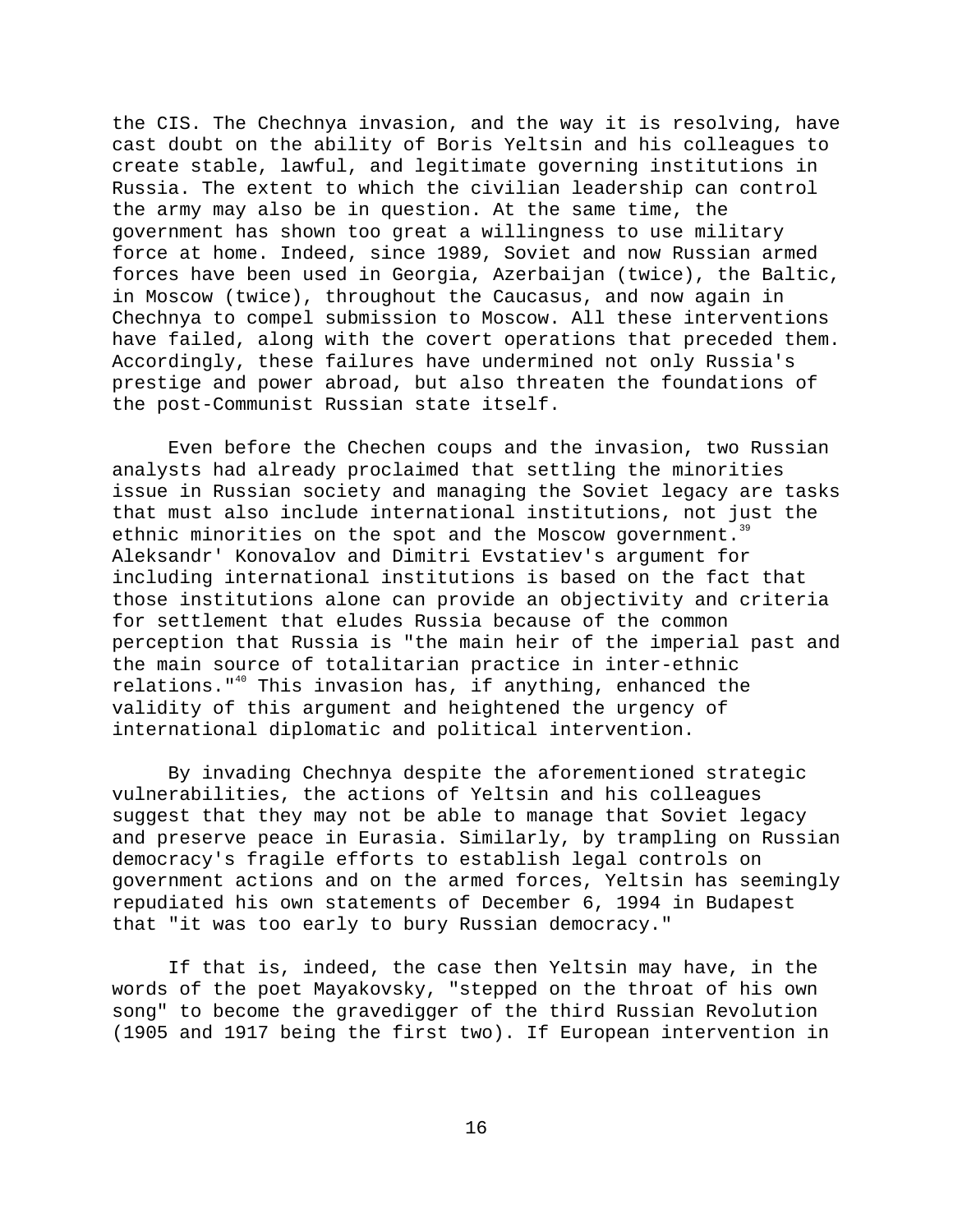the CIS. The Chechnya invasion, and the way it is resolving, have cast doubt on the ability of Boris Yeltsin and his colleagues to create stable, lawful, and legitimate governing institutions in Russia. The extent to which the civilian leadership can control the army may also be in question. At the same time, the government has shown too great a willingness to use military force at home. Indeed, since 1989, Soviet and now Russian armed forces have been used in Georgia, Azerbaijan (twice), the Baltic, in Moscow (twice), throughout the Caucasus, and now again in Chechnya to compel submission to Moscow. All these interventions have failed, along with the covert operations that preceded them. Accordingly, these failures have undermined not only Russia's prestige and power abroad, but also threaten the foundations of the post-Communist Russian state itself.

Even before the Chechen coups and the invasion, two Russian analysts had already proclaimed that settling the minorities issue in Russian society and managing the Soviet legacy are tasks that must also include international institutions, not just the ethnic minorities on the spot and the Moscow government.<sup>39</sup> Aleksandr' Konovalov and Dimitri Evstatiev's argument for including international institutions is based on the fact that those institutions alone can provide an objectivity and criteria for settlement that eludes Russia because of the common perception that Russia is "the main heir of the imperial past and the main source of totalitarian practice in inter-ethnic relations."40 This invasion has, if anything, enhanced the validity of this argument and heightened the urgency of international diplomatic and political intervention.

By invading Chechnya despite the aforementioned strategic vulnerabilities, the actions of Yeltsin and his colleagues suggest that they may not be able to manage that Soviet legacy and preserve peace in Eurasia. Similarly, by trampling on Russian democracy's fragile efforts to establish legal controls on government actions and on the armed forces, Yeltsin has seemingly repudiated his own statements of December 6, 1994 in Budapest that "it was too early to bury Russian democracy."

If that is, indeed, the case then Yeltsin may have, in the words of the poet Mayakovsky, "stepped on the throat of his own song" to become the gravedigger of the third Russian Revolution (1905 and 1917 being the first two). If European intervention in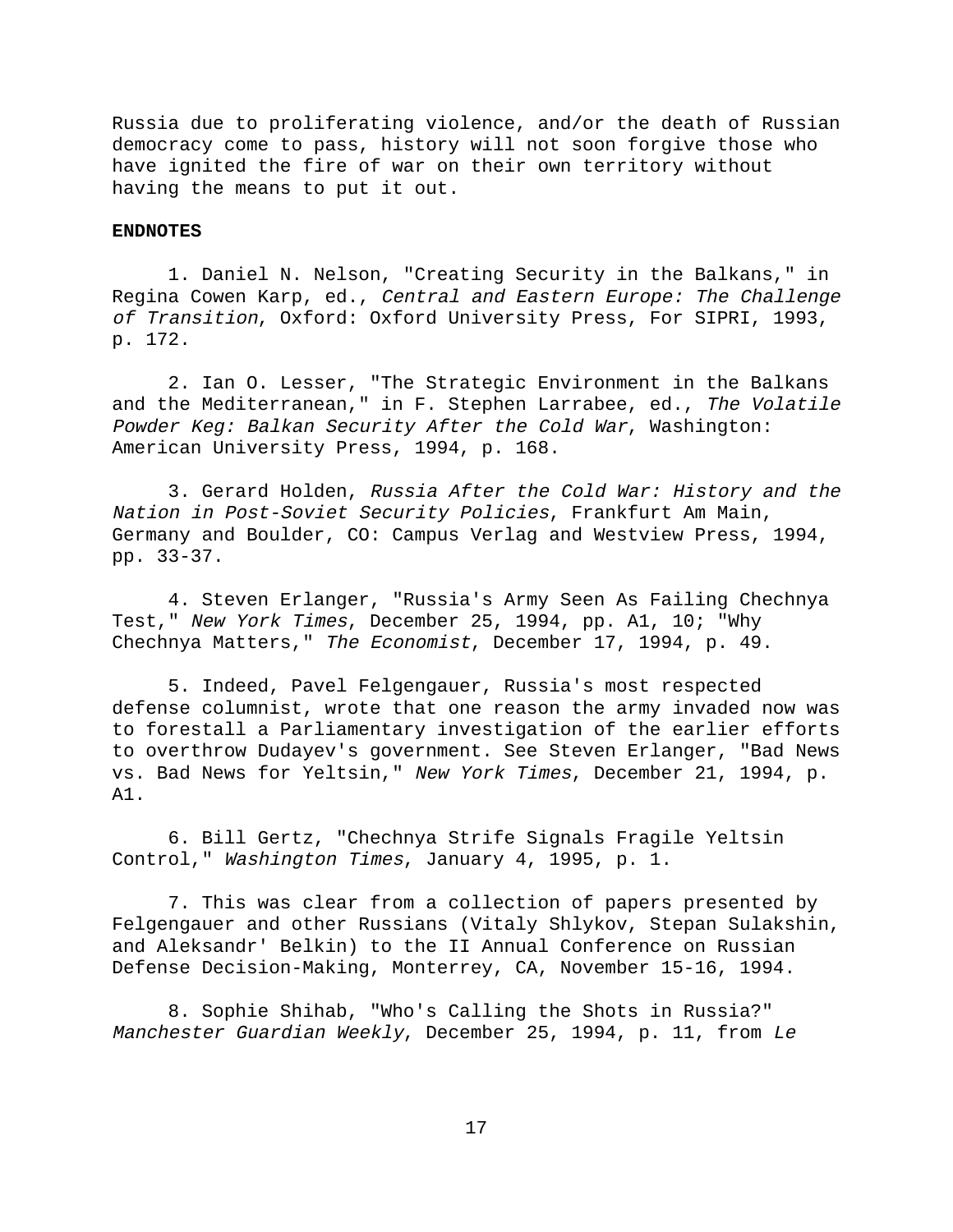Russia due to proliferating violence, and/or the death of Russian democracy come to pass, history will not soon forgive those who have ignited the fire of war on their own territory without having the means to put it out.

#### **ENDNOTES**

1. Daniel N. Nelson, "Creating Security in the Balkans," in Regina Cowen Karp, ed., Central and Eastern Europe: The Challenge of Transition, Oxford: Oxford University Press, For SIPRI, 1993, p. 172.

2. Ian O. Lesser, "The Strategic Environment in the Balkans and the Mediterranean," in F. Stephen Larrabee, ed., The Volatile Powder Keg: Balkan Security After the Cold War, Washington: American University Press, 1994, p. 168.

3. Gerard Holden, Russia After the Cold War: History and the Nation in Post-Soviet Security Policies, Frankfurt Am Main, Germany and Boulder, CO: Campus Verlag and Westview Press, 1994, pp. 33-37.

4. Steven Erlanger, "Russia's Army Seen As Failing Chechnya Test," New York Times, December 25, 1994, pp. A1, 10; "Why Chechnya Matters," The Economist, December 17, 1994, p. 49.

5. Indeed, Pavel Felgengauer, Russia's most respected defense columnist, wrote that one reason the army invaded now was to forestall a Parliamentary investigation of the earlier efforts to overthrow Dudayev's government. See Steven Erlanger, "Bad News vs. Bad News for Yeltsin," New York Times, December 21, 1994, p. A1.

6. Bill Gertz, "Chechnya Strife Signals Fragile Yeltsin Control," Washington Times, January 4, 1995, p. 1.

7. This was clear from a collection of papers presented by Felgengauer and other Russians (Vitaly Shlykov, Stepan Sulakshin, and Aleksandr' Belkin) to the II Annual Conference on Russian Defense Decision-Making, Monterrey, CA, November 15-16, 1994.

8. Sophie Shihab, "Who's Calling the Shots in Russia?" Manchester Guardian Weekly, December 25, 1994, p. 11, from Le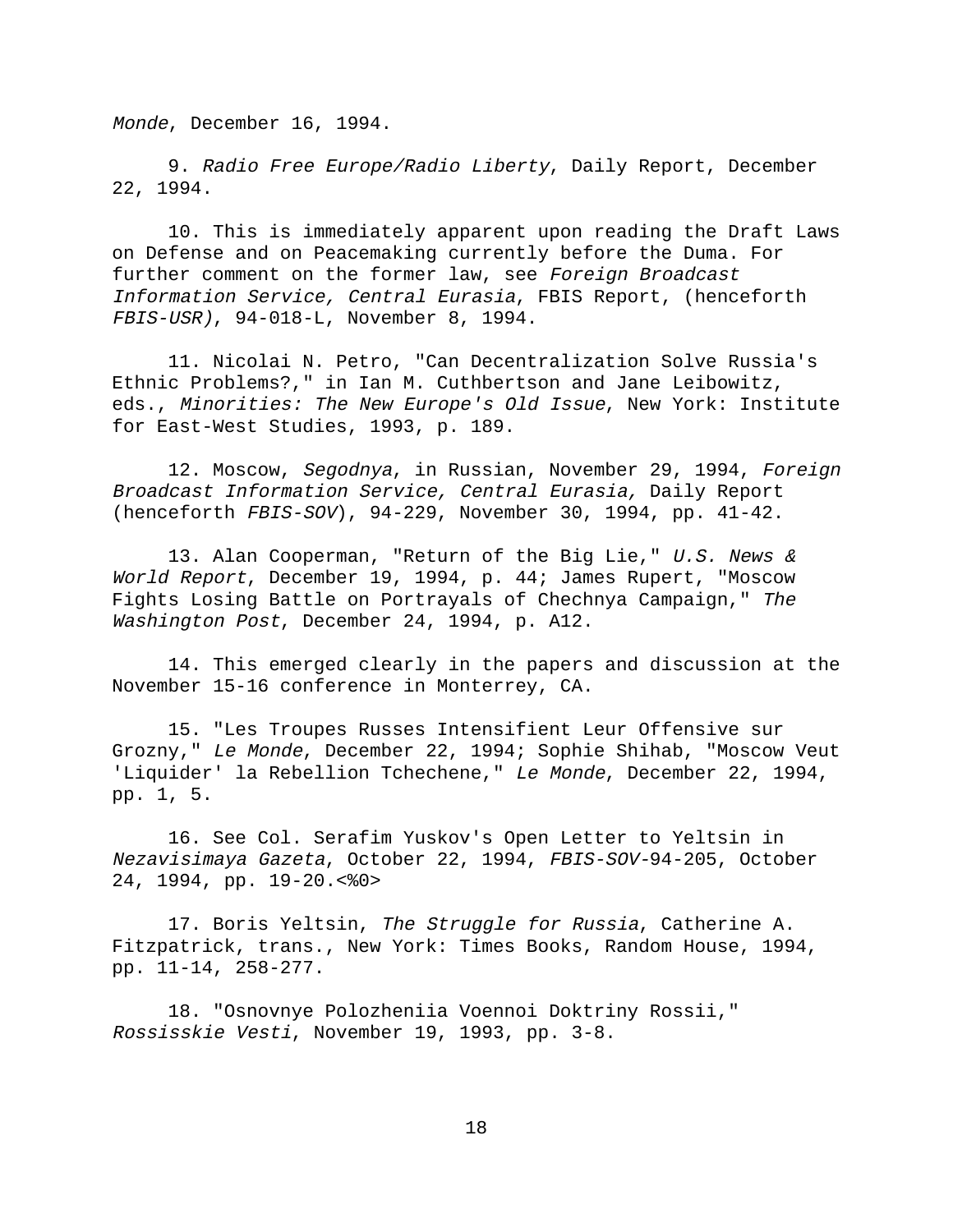Monde, December 16, 1994.

9. Radio Free Europe/Radio Liberty, Daily Report, December 22, 1994.

10. This is immediately apparent upon reading the Draft Laws on Defense and on Peacemaking currently before the Duma. For further comment on the former law, see Foreign Broadcast Information Service, Central Eurasia, FBIS Report, (henceforth FBIS-USR), 94-018-L, November 8, 1994.

11. Nicolai N. Petro, "Can Decentralization Solve Russia's Ethnic Problems?," in Ian M. Cuthbertson and Jane Leibowitz, eds., Minorities: The New Europe's Old Issue, New York: Institute for East-West Studies, 1993, p. 189.

12. Moscow, Segodnya, in Russian, November 29, 1994, Foreign Broadcast Information Service, Central Eurasia, Daily Report (henceforth FBIS-SOV), 94-229, November 30, 1994, pp. 41-42.

13. Alan Cooperman, "Return of the Big Lie," U.S. News & World Report, December 19, 1994, p. 44; James Rupert, "Moscow Fights Losing Battle on Portrayals of Chechnya Campaign," The Washington Post, December 24, 1994, p. A12.

14. This emerged clearly in the papers and discussion at the November 15-16 conference in Monterrey, CA.

15. "Les Troupes Russes Intensifient Leur Offensive sur Grozny," Le Monde, December 22, 1994; Sophie Shihab, "Moscow Veut 'Liquider' la Rebellion Tchechene," Le Monde, December 22, 1994, pp. 1, 5.

16. See Col. Serafim Yuskov's Open Letter to Yeltsin in Nezavisimaya Gazeta, October 22, 1994, FBIS-SOV-94-205, October 24, 1994, pp. 19-20.<%0>

17. Boris Yeltsin, The Struggle for Russia, Catherine A. Fitzpatrick, trans., New York: Times Books, Random House, 1994, pp. 11-14, 258-277.

18. "Osnovnye Polozheniia Voennoi Doktriny Rossii," Rossisskie Vesti, November 19, 1993, pp. 3-8.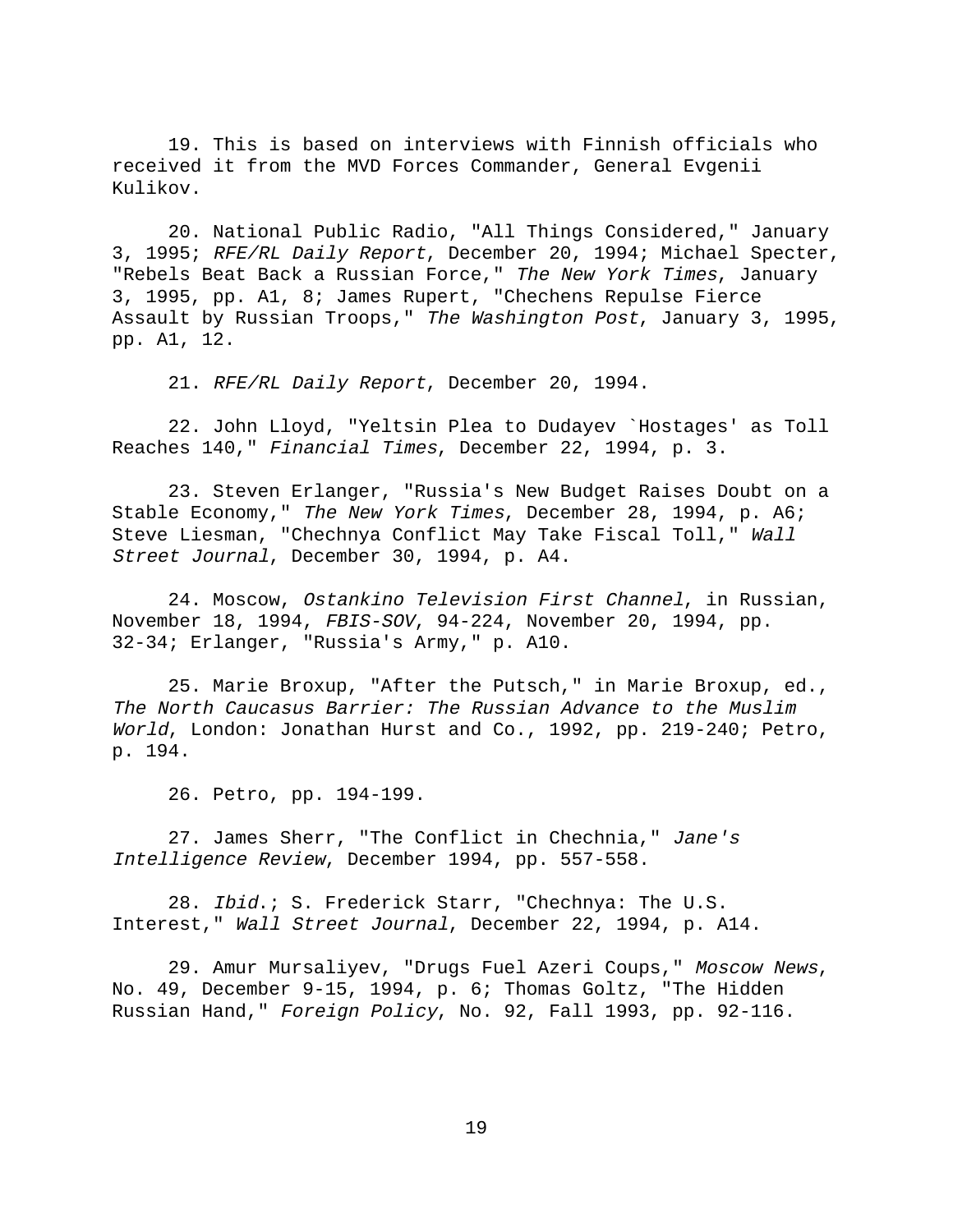19. This is based on interviews with Finnish officials who received it from the MVD Forces Commander, General Evgenii Kulikov.

20. National Public Radio, "All Things Considered," January 3, 1995; RFE/RL Daily Report, December 20, 1994; Michael Specter, "Rebels Beat Back a Russian Force," The New York Times, January 3, 1995, pp. A1, 8; James Rupert, "Chechens Repulse Fierce Assault by Russian Troops," The Washington Post, January 3, 1995, pp. A1, 12.

21. RFE/RL Daily Report, December 20, 1994.

22. John Lloyd, "Yeltsin Plea to Dudayev `Hostages' as Toll Reaches 140," Financial Times, December 22, 1994, p. 3.

23. Steven Erlanger, "Russia's New Budget Raises Doubt on a Stable Economy," The New York Times, December 28, 1994, p. A6; Steve Liesman, "Chechnya Conflict May Take Fiscal Toll," Wall Street Journal, December 30, 1994, p. A4.

24. Moscow, Ostankino Television First Channel, in Russian, November 18, 1994, FBIS-SOV, 94-224, November 20, 1994, pp. 32-34; Erlanger, "Russia's Army," p. A10.

25. Marie Broxup, "After the Putsch," in Marie Broxup, ed., The North Caucasus Barrier: The Russian Advance to the Muslim World, London: Jonathan Hurst and Co., 1992, pp. 219-240; Petro, p. 194.

26. Petro, pp. 194-199.

27. James Sherr, "The Conflict in Chechnia," Jane's Intelligence Review, December 1994, pp. 557-558.

28. Ibid.; S. Frederick Starr, "Chechnya: The U.S. Interest," Wall Street Journal, December 22, 1994, p. A14.

29. Amur Mursaliyev, "Drugs Fuel Azeri Coups," Moscow News, No. 49, December 9-15, 1994, p. 6; Thomas Goltz, "The Hidden Russian Hand," Foreign Policy, No. 92, Fall 1993, pp. 92-116.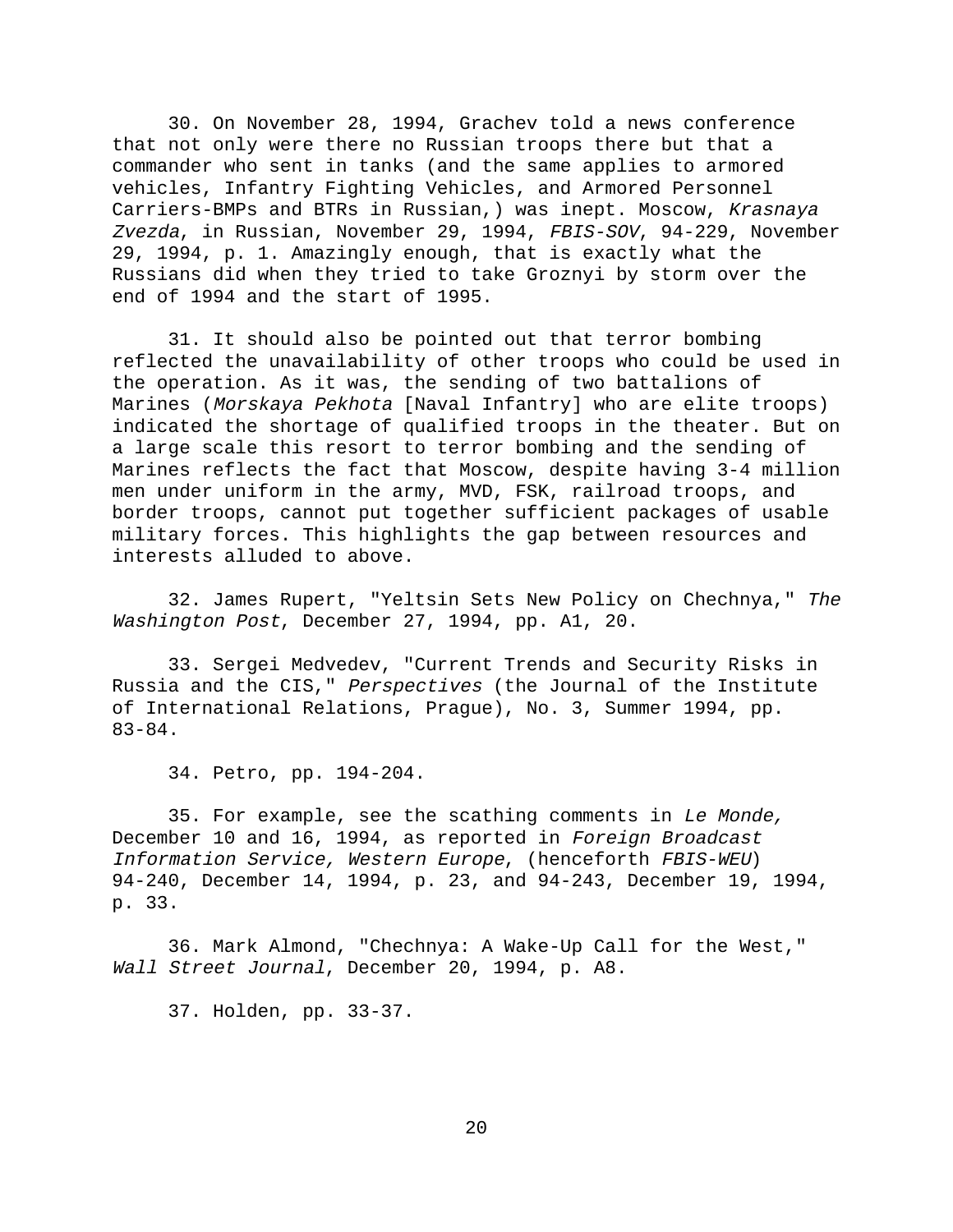30. On November 28, 1994, Grachev told a news conference that not only were there no Russian troops there but that a commander who sent in tanks (and the same applies to armored vehicles, Infantry Fighting Vehicles, and Armored Personnel Carriers-BMPs and BTRs in Russian,) was inept. Moscow, Krasnaya Zvezda, in Russian, November 29, 1994, FBIS-SOV, 94-229, November 29, 1994, p. 1. Amazingly enough, that is exactly what the Russians did when they tried to take Groznyi by storm over the end of 1994 and the start of 1995.

31. It should also be pointed out that terror bombing reflected the unavailability of other troops who could be used in the operation. As it was, the sending of two battalions of Marines (Morskaya Pekhota [Naval Infantry] who are elite troops) indicated the shortage of qualified troops in the theater. But on a large scale this resort to terror bombing and the sending of Marines reflects the fact that Moscow, despite having 3-4 million men under uniform in the army, MVD, FSK, railroad troops, and border troops, cannot put together sufficient packages of usable military forces. This highlights the gap between resources and interests alluded to above.

32. James Rupert, "Yeltsin Sets New Policy on Chechnya," The Washington Post, December 27, 1994, pp. A1, 20.

33. Sergei Medvedev, "Current Trends and Security Risks in Russia and the CIS," Perspectives (the Journal of the Institute of International Relations, Prague), No. 3, Summer 1994, pp. 83-84.

34. Petro, pp. 194-204.

35. For example, see the scathing comments in Le Monde, December 10 and 16, 1994, as reported in Foreign Broadcast Information Service, Western Europe, (henceforth FBIS-WEU) 94-240, December 14, 1994, p. 23, and 94-243, December 19, 1994, p. 33.

36. Mark Almond, "Chechnya: A Wake-Up Call for the West," Wall Street Journal, December 20, 1994, p. A8.

37. Holden, pp. 33-37.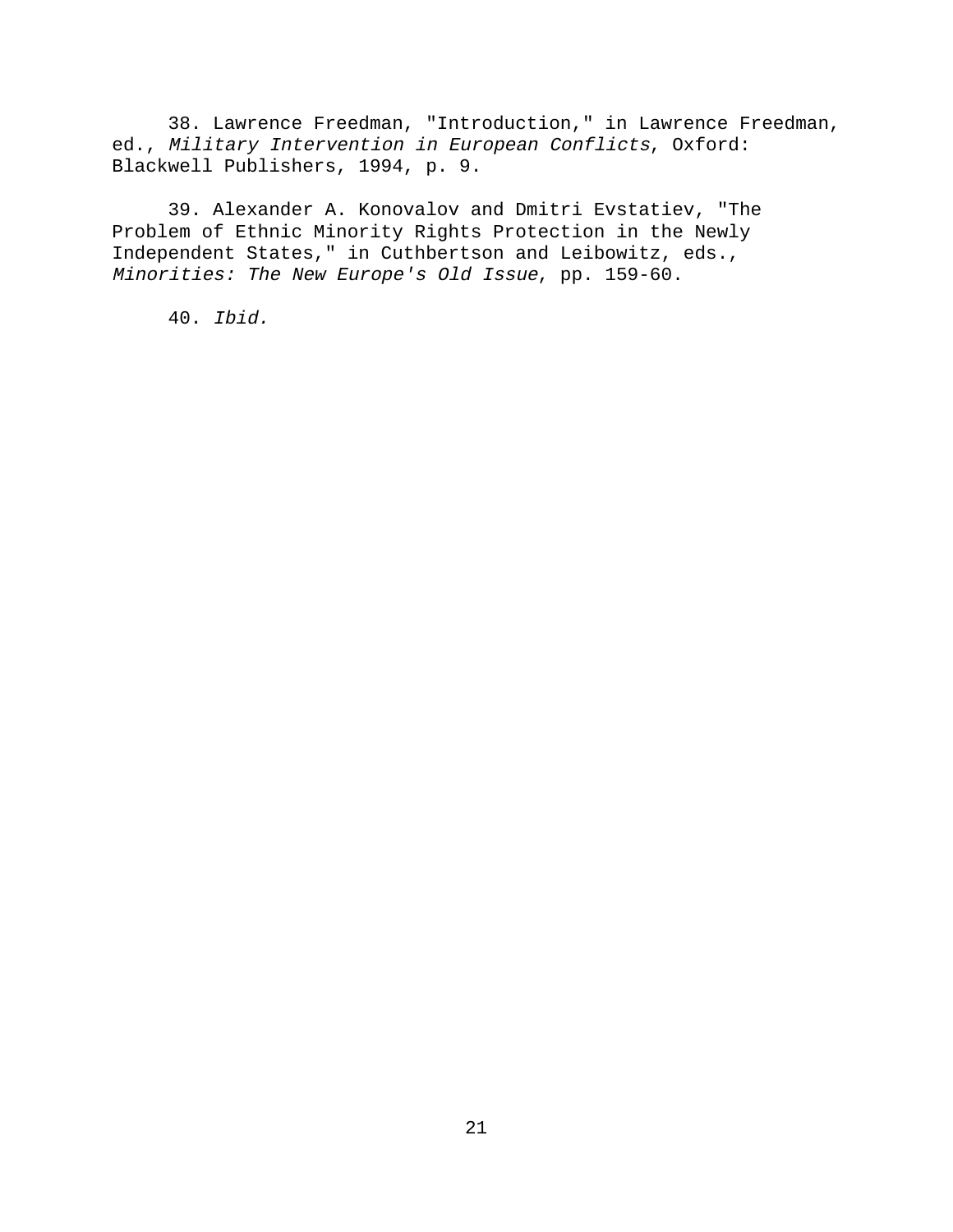38. Lawrence Freedman, "Introduction," in Lawrence Freedman, ed., Military Intervention in European Conflicts, Oxford: Blackwell Publishers, 1994, p. 9.

39. Alexander A. Konovalov and Dmitri Evstatiev, "The Problem of Ethnic Minority Rights Protection in the Newly Independent States," in Cuthbertson and Leibowitz, eds., Minorities: The New Europe's Old Issue, pp. 159-60.

40. Ibid.